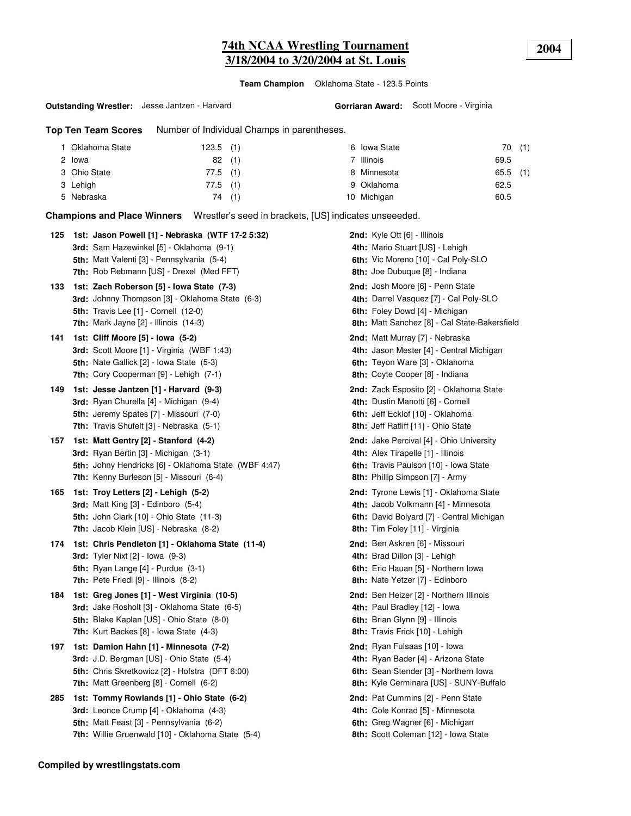**Team Champion** Oklahoma State - 123.5 Points

#### **Outstanding Wrestler:** Jesse Jantzen - Harvard

**Gorriaran Award:** Scott Moore - Virginia

**Top Ten Team Scores** Number of Individual Champs in parentheses.

| Oklahoma State | $123.5$ (1) |     | 6 Iowa State | 70(1)      |  |
|----------------|-------------|-----|--------------|------------|--|
| 2 Iowa         | 82          | (1) | 7 Illinois   | 69.5       |  |
| 3 Ohio State   | $77.5$ (1)  |     | 8 Minnesota  | $65.5$ (1) |  |
| 3 Lehigh       | $77.5$ (1)  |     | 9 Oklahoma   | 62.5       |  |
| 5 Nebraska     | 74          | (1) | 10 Michigan  | 60.5       |  |

**Champions and Place Winners** Wrestler's seed in brackets, [US] indicates unseeeded.

| 125 | 1st: Jason Powell [1] - Nebraska (WTF 17-2 5:32)<br>3rd: Sam Hazewinkel [5] - Oklahoma (9-1)<br>5th: Matt Valenti [3] - Pennsylvania (5-4)<br>7th: Rob Rebmann [US] - Drexel (Med FFT)               | 2nd: Kyle Ott [6] - Illinois<br>4th: Mario Stuart [US] - Lehigh<br>6th: Vic Moreno [10] - Cal Poly-SLO<br>8th: Joe Dubuque [8] - Indiana                            |
|-----|------------------------------------------------------------------------------------------------------------------------------------------------------------------------------------------------------|---------------------------------------------------------------------------------------------------------------------------------------------------------------------|
| 133 | 1st: Zach Roberson [5] - Iowa State (7-3)<br><b>3rd:</b> Johnny Thompson [3] - Oklahoma State (6-3)<br>5th: Travis Lee [1] - Cornell (12-0)<br><b>7th:</b> Mark Jayne $[2]$ - Illinois $(14-3)$      | 2nd: Josh Moore [6] - Penn State<br>4th: Darrel Vasquez [7] - Cal Poly-SLO<br>6th: Foley Dowd [4] - Michigan<br>8th: Matt Sanchez [8] - Cal State-Bakersfield       |
| 141 | 1st: Cliff Moore [5] - Iowa (5-2)<br>3rd: Scott Moore [1] - Virginia (WBF 1:43)<br><b>5th:</b> Nate Gallick [2] - Iowa State (5-3)<br>7th: Cory Cooperman [9] - Lehigh (7-1)                         | 2nd: Matt Murray [7] - Nebraska<br>4th: Jason Mester [4] - Central Michigan<br>6th: Teyon Ware [3] - Oklahoma<br>8th: Coyte Cooper [8] - Indiana                    |
| 149 | 1st: Jesse Jantzen [1] - Harvard (9-3)<br><b>3rd:</b> Ryan Churella [4] - Michigan (9-4)<br>5th: Jeremy Spates [7] - Missouri (7-0)<br>7th: Travis Shufelt [3] - Nebraska (5-1)                      | 2nd: Zack Esposito [2] - Oklahoma State<br>4th: Dustin Manotti [6] - Cornell<br>6th: Jeff Ecklof [10] - Oklahoma<br>8th: Jeff Ratliff [11] - Ohio State             |
| 157 | 1st: Matt Gentry [2] - Stanford (4-2)<br><b>3rd:</b> Ryan Bertin [3] - Michigan (3-1)<br>5th: Johny Hendricks [6] - Oklahoma State (WBF 4:47)<br>7th: Kenny Burleson [5] - Missouri (6-4)            | <b>2nd:</b> Jake Percival [4] - Ohio University<br>4th: Alex Tirapelle [1] - Illinois<br>6th: Travis Paulson [10] - Iowa State<br>8th: Phillip Simpson [7] - Army   |
| 165 | 1st: Troy Letters [2] - Lehigh (5-2)<br><b>3rd:</b> Matt King $[3]$ - Edinboro $(5-4)$<br><b>5th: John Clark [10] - Ohio State (11-3)</b><br>7th: Jacob Klein [US] - Nebraska (8-2)                  | <b>2nd:</b> Tyrone Lewis [1] - Oklahoma State<br>4th: Jacob Volkmann [4] - Minnesota<br>6th: David Bolyard [7] - Central Michigan<br>8th: Tim Foley [11] - Virginia |
| 174 | 1st: Chris Pendleton [1] - Oklahoma State (11-4)<br><b>3rd:</b> Tyler Nixt [2] - Iowa (9-3)<br>5th: Ryan Lange $[4]$ - Purdue $(3-1)$<br>7th: Pete Friedl [9] - Illinois (8-2)                       | 2nd: Ben Askren [6] - Missouri<br>4th: Brad Dillon [3] - Lehigh<br>6th: Eric Hauan [5] - Northern Iowa<br>8th: Nate Yetzer [7] - Edinboro                           |
| 184 | 1st: Greg Jones [1] - West Virginia (10-5)<br>3rd: Jake Rosholt [3] - Oklahoma State (6-5)<br><b>5th:</b> Blake Kaplan [US] - Ohio State (8-0)<br><b>7th:</b> Kurt Backes $[8]$ - Iowa State $(4-3)$ | 2nd: Ben Heizer [2] - Northern Illinois<br>4th: Paul Bradley [12] - Iowa<br>6th: Brian Glynn [9] - Illinois<br>8th: Travis Frick [10] - Lehigh                      |
| 197 | 1st: Damion Hahn [1] - Minnesota (7-2)<br><b>3rd:</b> J.D. Bergman [US] - Ohio State (5-4)<br>5th: Chris Skretkowicz [2] - Hofstra (DFT 6:00)<br><b>7th:</b> Matt Greenberg [8] - Cornell (6-2)      | 2nd: Ryan Fulsaas [10] - lowa<br>4th: Ryan Bader [4] - Arizona State<br>6th: Sean Stender [3] - Northern Iowa<br>8th: Kyle Cerminara [US] - SUNY-Buffalo            |
| 285 | 1st: Tommy Rowlands [1] - Ohio State (6-2)<br>3rd: Leonce Crump [4] - Oklahoma (4-3)<br>5th: Matt Feast [3] - Pennsylvania (6-2)<br>7th: Willie Gruenwald [10] - Oklahoma State (5-4)                | 2nd: Pat Cummins [2] - Penn State<br>4th: Cole Konrad [5] - Minnesota<br>6th: Greg Wagner [6] - Michigan<br>8th: Scott Coleman [12] - Iowa State                    |
|     |                                                                                                                                                                                                      |                                                                                                                                                                     |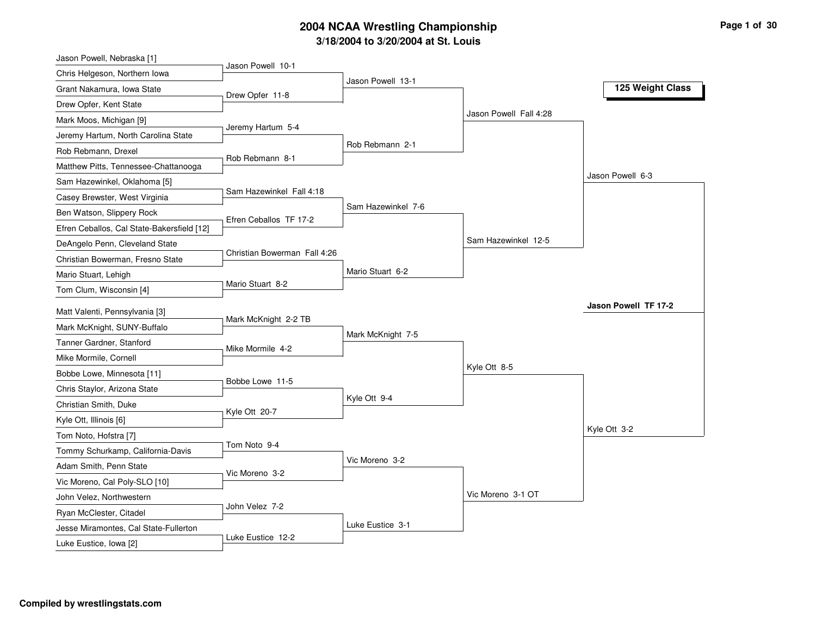| Jason Powell, Nebraska [1]                 |                              |                    |                        |                      |
|--------------------------------------------|------------------------------|--------------------|------------------------|----------------------|
| Chris Helgeson, Northern Iowa              | Jason Powell 10-1            |                    |                        |                      |
| Grant Nakamura, Iowa State                 | Drew Opfer 11-8              | Jason Powell 13-1  |                        | 125 Weight Class     |
| Drew Opfer, Kent State                     |                              |                    |                        |                      |
| Mark Moos, Michigan [9]                    |                              |                    | Jason Powell Fall 4:28 |                      |
| Jeremy Hartum, North Carolina State        | Jeremy Hartum 5-4            |                    |                        |                      |
| Rob Rebmann, Drexel                        |                              | Rob Rebmann 2-1    |                        |                      |
| Matthew Pitts, Tennessee-Chattanooga       | Rob Rebmann 8-1              |                    |                        |                      |
| Sam Hazewinkel, Oklahoma [5]               |                              |                    |                        | Jason Powell 6-3     |
| Casey Brewster, West Virginia              | Sam Hazewinkel Fall 4:18     |                    |                        |                      |
| Ben Watson, Slippery Rock                  | Efren Ceballos TF 17-2       | Sam Hazewinkel 7-6 |                        |                      |
| Efren Ceballos, Cal State-Bakersfield [12] |                              |                    |                        |                      |
| DeAngelo Penn, Cleveland State             |                              |                    | Sam Hazewinkel 12-5    |                      |
| Christian Bowerman, Fresno State           | Christian Bowerman Fall 4:26 |                    |                        |                      |
| Mario Stuart, Lehigh                       |                              | Mario Stuart 6-2   |                        |                      |
| Tom Clum, Wisconsin [4]                    | Mario Stuart 8-2             |                    |                        |                      |
| Matt Valenti, Pennsylvania [3]             |                              |                    |                        | Jason Powell TF 17-2 |
| Mark McKnight, SUNY-Buffalo                | Mark McKnight 2-2 TB         |                    |                        |                      |
| Tanner Gardner, Stanford                   |                              | Mark McKnight 7-5  |                        |                      |
| Mike Mormile, Cornell                      | Mike Mormile 4-2             |                    |                        |                      |
| Bobbe Lowe, Minnesota [11]                 |                              |                    | Kyle Ott 8-5           |                      |
| Chris Staylor, Arizona State               | Bobbe Lowe 11-5              |                    |                        |                      |
| Christian Smith, Duke                      |                              | Kyle Ott 9-4       |                        |                      |
| Kyle Ott, Illinois [6]                     | Kyle Ott 20-7                |                    |                        |                      |
| Tom Noto, Hofstra [7]                      |                              |                    |                        | Kyle Ott 3-2         |
| Tommy Schurkamp, California-Davis          | Tom Noto 9-4                 |                    |                        |                      |
| Adam Smith, Penn State                     |                              | Vic Moreno 3-2     |                        |                      |
| Vic Moreno, Cal Poly-SLO [10]              | Vic Moreno 3-2               |                    |                        |                      |
| John Velez, Northwestern                   |                              |                    | Vic Moreno 3-1 OT      |                      |
| Ryan McClester, Citadel                    | John Velez 7-2               |                    |                        |                      |
| Jesse Miramontes, Cal State-Fullerton      |                              | Luke Eustice 3-1   |                        |                      |
|                                            |                              |                    |                        |                      |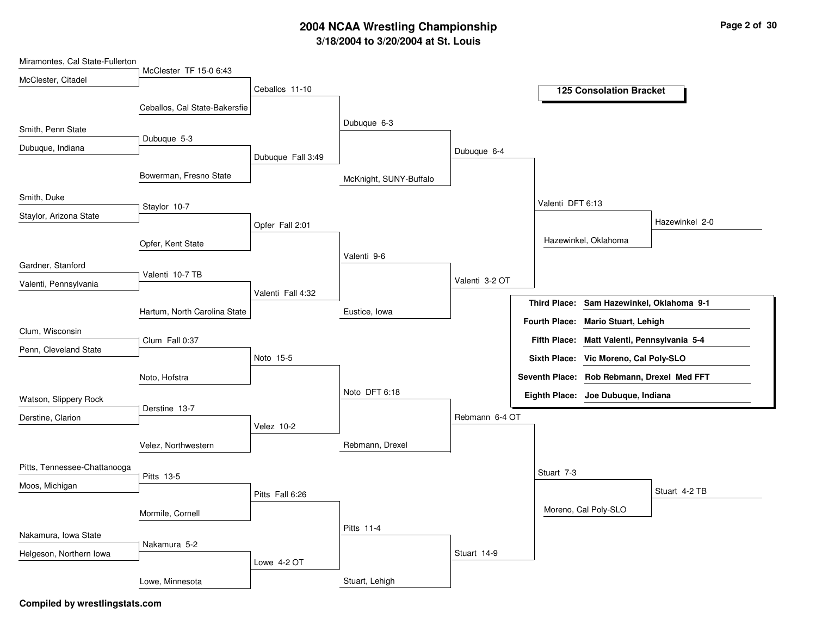| Miramontes, Cal State-Fullerton |                               |                   |                        |                |                                             |
|---------------------------------|-------------------------------|-------------------|------------------------|----------------|---------------------------------------------|
| McClester, Citadel              | McClester TF 15-0 6:43        |                   |                        |                |                                             |
|                                 |                               | Ceballos 11-10    |                        |                | <b>125 Consolation Bracket</b>              |
|                                 | Ceballos, Cal State-Bakersfie |                   |                        |                |                                             |
| Smith, Penn State               |                               |                   | Dubuque 6-3            |                |                                             |
| Dubuque, Indiana                | Dubuque 5-3                   |                   |                        | Dubuque 6-4    |                                             |
|                                 |                               | Dubuque Fall 3:49 |                        |                |                                             |
|                                 | Bowerman, Fresno State        |                   | McKnight, SUNY-Buffalo |                |                                             |
| Smith, Duke                     |                               |                   |                        |                | Valenti DFT 6:13                            |
| Staylor, Arizona State          | Staylor 10-7                  |                   |                        |                |                                             |
|                                 |                               | Opfer Fall 2:01   |                        |                | Hazewinkel 2-0                              |
|                                 | Opfer, Kent State             |                   |                        |                | Hazewinkel, Oklahoma                        |
| Gardner, Stanford               |                               |                   | Valenti 9-6            |                |                                             |
|                                 | Valenti 10-7 TB               |                   |                        | Valenti 3-2 OT |                                             |
| Valenti, Pennsylvania           |                               | Valenti Fall 4:32 |                        |                |                                             |
|                                 | Hartum, North Carolina State  |                   | Eustice, Iowa          |                | Third Place: Sam Hazewinkel, Oklahoma 9-1   |
|                                 |                               |                   |                        |                | Fourth Place: Mario Stuart, Lehigh          |
| Clum, Wisconsin                 | Clum Fall 0:37                |                   |                        |                | Fifth Place: Matt Valenti, Pennsylvania 5-4 |
| Penn, Cleveland State           |                               | Noto 15-5         |                        |                | Sixth Place: Vic Moreno, Cal Poly-SLO       |
|                                 | Noto, Hofstra                 |                   |                        |                | Seventh Place: Rob Rebmann, Drexel Med FFT  |
|                                 |                               |                   | Noto DFT 6:18          |                |                                             |
| Watson, Slippery Rock           | Derstine 13-7                 |                   |                        |                | Eighth Place: Joe Dubuque, Indiana          |
| Derstine, Clarion               |                               |                   |                        | Rebmann 6-4 OT |                                             |
|                                 |                               | Velez 10-2        |                        |                |                                             |
|                                 | Velez, Northwestern           |                   | Rebmann, Drexel        |                |                                             |
| Pitts, Tennessee-Chattanooga    |                               |                   |                        |                | Stuart 7-3                                  |
| Moos, Michigan                  | Pitts 13-5                    |                   |                        |                |                                             |
|                                 |                               | Pitts Fall 6:26   |                        |                | Stuart 4-2 TB                               |
|                                 | Mormile, Cornell              |                   |                        |                | Moreno, Cal Poly-SLO                        |
|                                 |                               |                   | Pitts 11-4             |                |                                             |
| Nakamura, Iowa State            | Nakamura 5-2                  |                   |                        |                |                                             |
| Helgeson, Northern Iowa         |                               | Lowe 4-2 OT       |                        | Stuart 14-9    |                                             |
|                                 |                               |                   |                        |                |                                             |
|                                 | Lowe, Minnesota               |                   | Stuart, Lehigh         |                |                                             |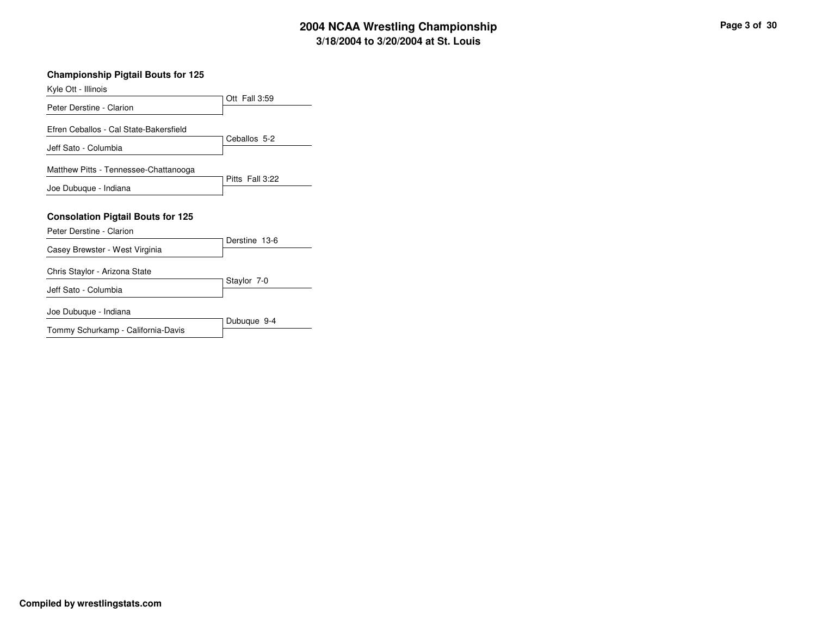#### **Championship Pigtail Bouts for 125**

| Kyle Ott - Illinois                      |                 |
|------------------------------------------|-----------------|
|                                          | Ott Fall 3:59   |
| Peter Derstine - Clarion                 |                 |
| Efren Ceballos - Cal State-Bakersfield   |                 |
| Jeff Sato - Columbia                     | Ceballos 5-2    |
| Matthew Pitts - Tennessee-Chattanooga    |                 |
| Joe Dubuque - Indiana                    | Pitts Fall 3:22 |
|                                          |                 |
| <b>Consolation Pigtail Bouts for 125</b> |                 |
| Peter Derstine - Clarion                 |                 |
| Casey Brewster - West Virginia           | Derstine 13-6   |
|                                          |                 |
| Chris Staylor - Arizona State            |                 |
| Jeff Sato - Columbia                     | Staylor 7-0     |
| Joe Dubuque - Indiana                    |                 |
|                                          | Dubuque 9-4     |
| Tommy Schurkamp - California-Davis       |                 |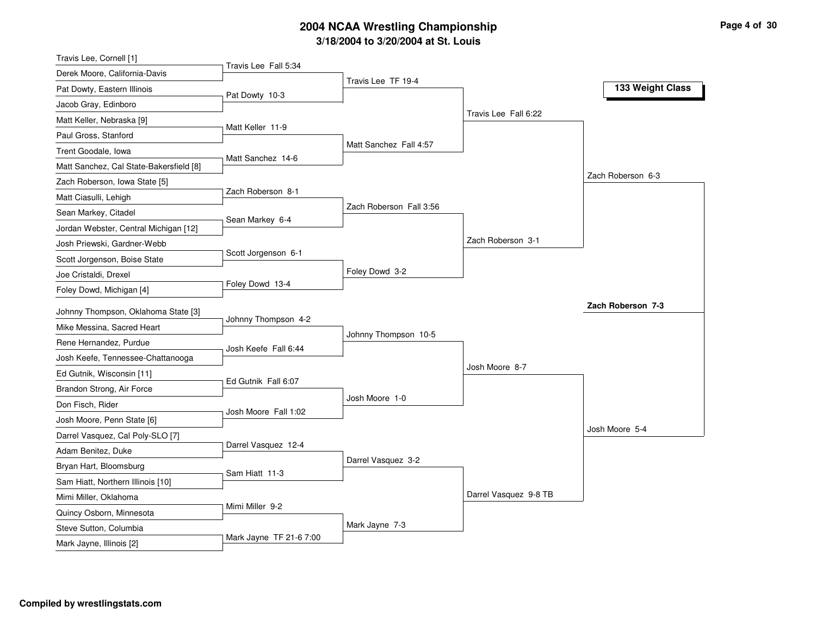| Travis Lee, Cornell [1]                 |                         |                         |                       |                   |
|-----------------------------------------|-------------------------|-------------------------|-----------------------|-------------------|
| Derek Moore, California-Davis           | Travis Lee Fall 5:34    |                         |                       |                   |
| Pat Dowty, Eastern Illinois             | Pat Dowty 10-3          | Travis Lee TF 19-4      |                       | 133 Weight Class  |
| Jacob Gray, Edinboro                    |                         |                         |                       |                   |
| Matt Keller, Nebraska [9]               |                         |                         | Travis Lee Fall 6:22  |                   |
| Paul Gross, Stanford                    | Matt Keller 11-9        |                         |                       |                   |
| Trent Goodale, Iowa                     |                         | Matt Sanchez Fall 4:57  |                       |                   |
| Matt Sanchez, Cal State-Bakersfield [8] | Matt Sanchez 14-6       |                         |                       |                   |
| Zach Roberson, Iowa State [5]           |                         |                         |                       | Zach Roberson 6-3 |
| Matt Ciasulli, Lehigh                   | Zach Roberson 8-1       |                         |                       |                   |
| Sean Markey, Citadel                    |                         | Zach Roberson Fall 3:56 |                       |                   |
| Jordan Webster, Central Michigan [12]   | Sean Markey 6-4         |                         |                       |                   |
| Josh Priewski, Gardner-Webb             |                         |                         | Zach Roberson 3-1     |                   |
| Scott Jorgenson, Boise State            | Scott Jorgenson 6-1     |                         |                       |                   |
| Joe Cristaldi, Drexel                   |                         | Foley Dowd 3-2          |                       |                   |
| Foley Dowd, Michigan [4]                | Foley Dowd 13-4         |                         |                       |                   |
| Johnny Thompson, Oklahoma State [3]     |                         |                         |                       | Zach Roberson 7-3 |
| Mike Messina, Sacred Heart              | Johnny Thompson 4-2     |                         |                       |                   |
| Rene Hernandez, Purdue                  |                         | Johnny Thompson 10-5    |                       |                   |
| Josh Keefe, Tennessee-Chattanooga       | Josh Keefe Fall 6:44    |                         |                       |                   |
| Ed Gutnik, Wisconsin [11]               |                         |                         | Josh Moore 8-7        |                   |
| Brandon Strong, Air Force               | Ed Gutnik Fall 6:07     |                         |                       |                   |
| Don Fisch, Rider                        |                         | Josh Moore 1-0          |                       |                   |
| Josh Moore, Penn State [6]              | Josh Moore Fall 1:02    |                         |                       |                   |
| Darrel Vasquez, Cal Poly-SLO [7]        |                         |                         |                       | Josh Moore 5-4    |
| Adam Benitez, Duke                      | Darrel Vasquez 12-4     |                         |                       |                   |
| Bryan Hart, Bloomsburg                  |                         | Darrel Vasquez 3-2      |                       |                   |
| Sam Hiatt, Northern Illinois [10]       | Sam Hiatt 11-3          |                         |                       |                   |
| Mimi Miller, Oklahoma                   |                         |                         | Darrel Vasquez 9-8 TB |                   |
| Quincy Osborn, Minnesota                | Mimi Miller 9-2         |                         |                       |                   |
| Steve Sutton, Columbia                  |                         | Mark Jayne 7-3          |                       |                   |
|                                         | Mark Jayne TF 21-6 7:00 |                         |                       |                   |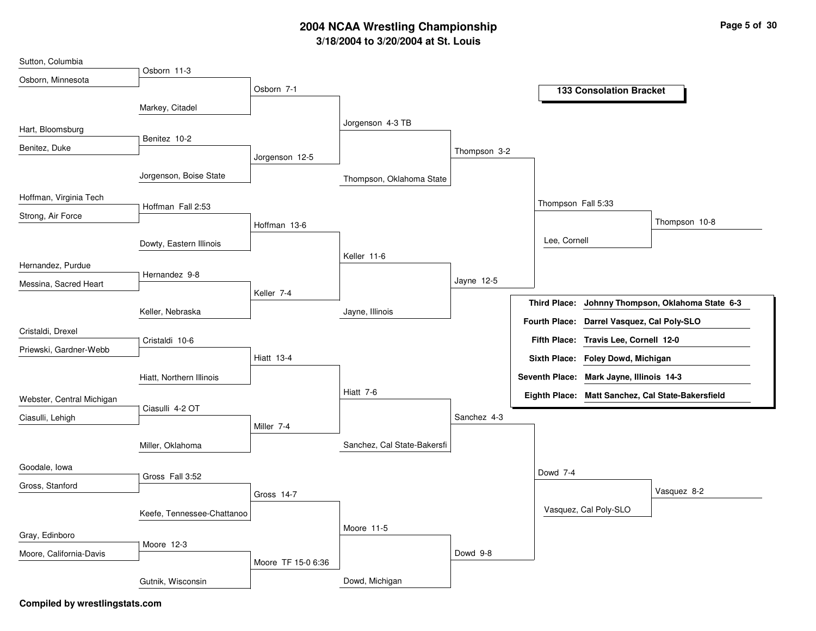| Osborn, Minnesota<br>Osborn 7-1<br><b>133 Consolation Bracket</b><br>Markey, Citadel<br>Jorgenson 4-3 TB<br>Hart, Bloomsburg<br>Benitez 10-2<br>Benitez, Duke<br>Thompson 3-2<br>Jorgenson 12-5<br>Jorgenson, Boise State<br>Thompson, Oklahoma State<br>Hoffman, Virginia Tech<br>Thompson Fall 5:33<br>Hoffman Fall 2:53<br>Strong, Air Force<br>Thompson 10-8<br>Hoffman 13-6<br>Lee, Cornell<br>Dowty, Eastern Illinois<br>Keller 11-6<br>Hernandez, Purdue<br>Hernandez 9-8<br>Jayne 12-5<br>Messina, Sacred Heart<br>Keller 7-4<br><b>Third Place:</b><br>Johnny Thompson, Oklahoma State 6-3<br>Keller, Nebraska<br>Jayne, Illinois<br>Fourth Place: Darrel Vasquez, Cal Poly-SLO<br>Cristaldi, Drexel<br>Fifth Place: Travis Lee, Cornell 12-0<br>Cristaldi 10-6<br>Priewski, Gardner-Webb<br><b>Hiatt 13-4</b><br>Sixth Place: Foley Dowd, Michigan<br>Seventh Place: Mark Jayne, Illinois 14-3<br>Hiatt, Northern Illinois<br>Hiatt 7-6<br>Eighth Place: Matt Sanchez, Cal State-Bakersfield<br>Webster, Central Michigan<br>Ciasulli 4-2 OT<br>Sanchez 4-3<br>Ciasulli, Lehigh<br>Miller <sub>7-4</sub><br>Sanchez, Cal State-Bakersfi<br>Miller, Oklahoma<br>Goodale, Iowa<br>Dowd 7-4<br>Gross Fall 3:52<br>Gross, Stanford<br>Vasquez 8-2<br>Gross 14-7<br>Vasquez, Cal Poly-SLO<br>Keefe, Tennessee-Chattanoo<br>Moore 11-5<br>Gray, Edinboro | Sutton, Columbia | Osborn 11-3 |  |  |  |  |
|--------------------------------------------------------------------------------------------------------------------------------------------------------------------------------------------------------------------------------------------------------------------------------------------------------------------------------------------------------------------------------------------------------------------------------------------------------------------------------------------------------------------------------------------------------------------------------------------------------------------------------------------------------------------------------------------------------------------------------------------------------------------------------------------------------------------------------------------------------------------------------------------------------------------------------------------------------------------------------------------------------------------------------------------------------------------------------------------------------------------------------------------------------------------------------------------------------------------------------------------------------------------------------------------------------------------------------------------------------------|------------------|-------------|--|--|--|--|
|                                                                                                                                                                                                                                                                                                                                                                                                                                                                                                                                                                                                                                                                                                                                                                                                                                                                                                                                                                                                                                                                                                                                                                                                                                                                                                                                                              |                  |             |  |  |  |  |
|                                                                                                                                                                                                                                                                                                                                                                                                                                                                                                                                                                                                                                                                                                                                                                                                                                                                                                                                                                                                                                                                                                                                                                                                                                                                                                                                                              |                  |             |  |  |  |  |
|                                                                                                                                                                                                                                                                                                                                                                                                                                                                                                                                                                                                                                                                                                                                                                                                                                                                                                                                                                                                                                                                                                                                                                                                                                                                                                                                                              |                  |             |  |  |  |  |
|                                                                                                                                                                                                                                                                                                                                                                                                                                                                                                                                                                                                                                                                                                                                                                                                                                                                                                                                                                                                                                                                                                                                                                                                                                                                                                                                                              |                  |             |  |  |  |  |
|                                                                                                                                                                                                                                                                                                                                                                                                                                                                                                                                                                                                                                                                                                                                                                                                                                                                                                                                                                                                                                                                                                                                                                                                                                                                                                                                                              |                  |             |  |  |  |  |
|                                                                                                                                                                                                                                                                                                                                                                                                                                                                                                                                                                                                                                                                                                                                                                                                                                                                                                                                                                                                                                                                                                                                                                                                                                                                                                                                                              |                  |             |  |  |  |  |
|                                                                                                                                                                                                                                                                                                                                                                                                                                                                                                                                                                                                                                                                                                                                                                                                                                                                                                                                                                                                                                                                                                                                                                                                                                                                                                                                                              |                  |             |  |  |  |  |
|                                                                                                                                                                                                                                                                                                                                                                                                                                                                                                                                                                                                                                                                                                                                                                                                                                                                                                                                                                                                                                                                                                                                                                                                                                                                                                                                                              |                  |             |  |  |  |  |
|                                                                                                                                                                                                                                                                                                                                                                                                                                                                                                                                                                                                                                                                                                                                                                                                                                                                                                                                                                                                                                                                                                                                                                                                                                                                                                                                                              |                  |             |  |  |  |  |
|                                                                                                                                                                                                                                                                                                                                                                                                                                                                                                                                                                                                                                                                                                                                                                                                                                                                                                                                                                                                                                                                                                                                                                                                                                                                                                                                                              |                  |             |  |  |  |  |
|                                                                                                                                                                                                                                                                                                                                                                                                                                                                                                                                                                                                                                                                                                                                                                                                                                                                                                                                                                                                                                                                                                                                                                                                                                                                                                                                                              |                  |             |  |  |  |  |
|                                                                                                                                                                                                                                                                                                                                                                                                                                                                                                                                                                                                                                                                                                                                                                                                                                                                                                                                                                                                                                                                                                                                                                                                                                                                                                                                                              |                  |             |  |  |  |  |
|                                                                                                                                                                                                                                                                                                                                                                                                                                                                                                                                                                                                                                                                                                                                                                                                                                                                                                                                                                                                                                                                                                                                                                                                                                                                                                                                                              |                  |             |  |  |  |  |
|                                                                                                                                                                                                                                                                                                                                                                                                                                                                                                                                                                                                                                                                                                                                                                                                                                                                                                                                                                                                                                                                                                                                                                                                                                                                                                                                                              |                  |             |  |  |  |  |
|                                                                                                                                                                                                                                                                                                                                                                                                                                                                                                                                                                                                                                                                                                                                                                                                                                                                                                                                                                                                                                                                                                                                                                                                                                                                                                                                                              |                  |             |  |  |  |  |
|                                                                                                                                                                                                                                                                                                                                                                                                                                                                                                                                                                                                                                                                                                                                                                                                                                                                                                                                                                                                                                                                                                                                                                                                                                                                                                                                                              |                  |             |  |  |  |  |
|                                                                                                                                                                                                                                                                                                                                                                                                                                                                                                                                                                                                                                                                                                                                                                                                                                                                                                                                                                                                                                                                                                                                                                                                                                                                                                                                                              |                  |             |  |  |  |  |
|                                                                                                                                                                                                                                                                                                                                                                                                                                                                                                                                                                                                                                                                                                                                                                                                                                                                                                                                                                                                                                                                                                                                                                                                                                                                                                                                                              |                  |             |  |  |  |  |
|                                                                                                                                                                                                                                                                                                                                                                                                                                                                                                                                                                                                                                                                                                                                                                                                                                                                                                                                                                                                                                                                                                                                                                                                                                                                                                                                                              |                  |             |  |  |  |  |
|                                                                                                                                                                                                                                                                                                                                                                                                                                                                                                                                                                                                                                                                                                                                                                                                                                                                                                                                                                                                                                                                                                                                                                                                                                                                                                                                                              |                  |             |  |  |  |  |
|                                                                                                                                                                                                                                                                                                                                                                                                                                                                                                                                                                                                                                                                                                                                                                                                                                                                                                                                                                                                                                                                                                                                                                                                                                                                                                                                                              |                  |             |  |  |  |  |
|                                                                                                                                                                                                                                                                                                                                                                                                                                                                                                                                                                                                                                                                                                                                                                                                                                                                                                                                                                                                                                                                                                                                                                                                                                                                                                                                                              |                  |             |  |  |  |  |
|                                                                                                                                                                                                                                                                                                                                                                                                                                                                                                                                                                                                                                                                                                                                                                                                                                                                                                                                                                                                                                                                                                                                                                                                                                                                                                                                                              |                  |             |  |  |  |  |
|                                                                                                                                                                                                                                                                                                                                                                                                                                                                                                                                                                                                                                                                                                                                                                                                                                                                                                                                                                                                                                                                                                                                                                                                                                                                                                                                                              |                  |             |  |  |  |  |
|                                                                                                                                                                                                                                                                                                                                                                                                                                                                                                                                                                                                                                                                                                                                                                                                                                                                                                                                                                                                                                                                                                                                                                                                                                                                                                                                                              |                  |             |  |  |  |  |
|                                                                                                                                                                                                                                                                                                                                                                                                                                                                                                                                                                                                                                                                                                                                                                                                                                                                                                                                                                                                                                                                                                                                                                                                                                                                                                                                                              |                  |             |  |  |  |  |
|                                                                                                                                                                                                                                                                                                                                                                                                                                                                                                                                                                                                                                                                                                                                                                                                                                                                                                                                                                                                                                                                                                                                                                                                                                                                                                                                                              |                  |             |  |  |  |  |
|                                                                                                                                                                                                                                                                                                                                                                                                                                                                                                                                                                                                                                                                                                                                                                                                                                                                                                                                                                                                                                                                                                                                                                                                                                                                                                                                                              |                  |             |  |  |  |  |
| Moore 12-3                                                                                                                                                                                                                                                                                                                                                                                                                                                                                                                                                                                                                                                                                                                                                                                                                                                                                                                                                                                                                                                                                                                                                                                                                                                                                                                                                   |                  |             |  |  |  |  |
| Dowd 9-8<br>Moore, California-Davis<br>Moore TF 15-0 6:36                                                                                                                                                                                                                                                                                                                                                                                                                                                                                                                                                                                                                                                                                                                                                                                                                                                                                                                                                                                                                                                                                                                                                                                                                                                                                                    |                  |             |  |  |  |  |
| Dowd, Michigan<br>Gutnik, Wisconsin                                                                                                                                                                                                                                                                                                                                                                                                                                                                                                                                                                                                                                                                                                                                                                                                                                                                                                                                                                                                                                                                                                                                                                                                                                                                                                                          |                  |             |  |  |  |  |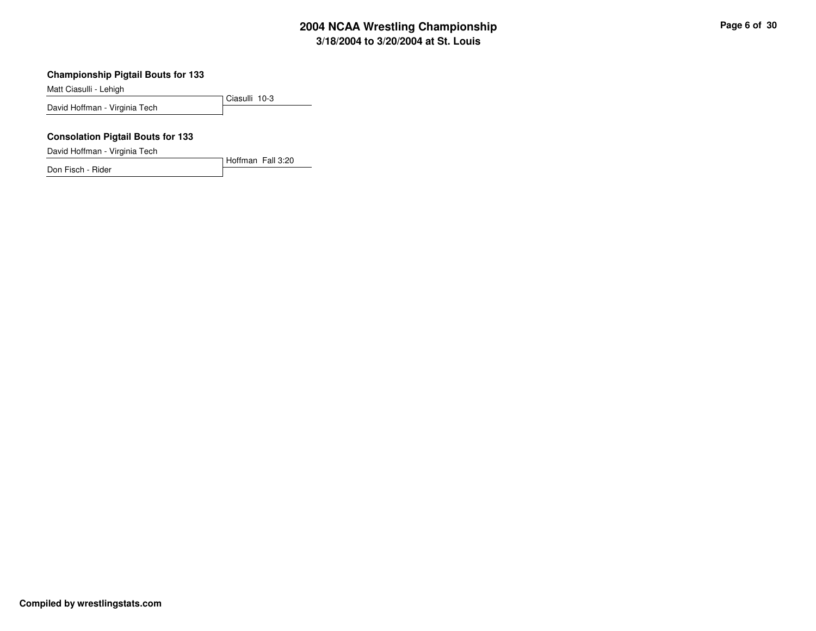#### **Championship Pigtail Bouts for 133**

Matt Ciasulli - Lehigh

Ciasulli 10-3David Hoffman - Virginia Tech

Hoffman Fall 3:20

#### **Consolation Pigtail Bouts for 133**

David Hoffman - Virginia Tech

Don Fisch - Rider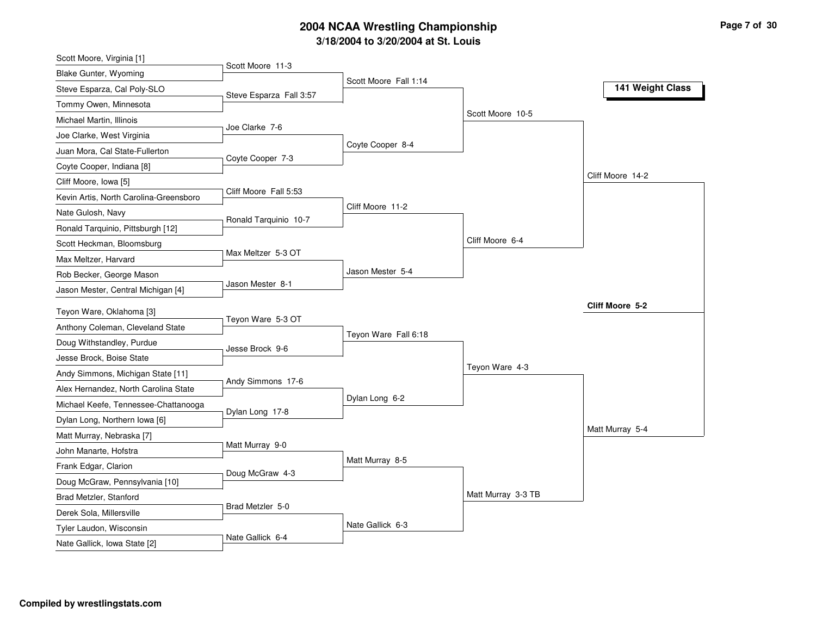| Scott Moore, Virginia [1]                                                    |                         |                       |                    |                  |
|------------------------------------------------------------------------------|-------------------------|-----------------------|--------------------|------------------|
| Blake Gunter, Wyoming                                                        | Scott Moore 11-3        |                       |                    |                  |
| Steve Esparza, Cal Poly-SLO                                                  | Steve Esparza Fall 3:57 | Scott Moore Fall 1:14 |                    | 141 Weight Class |
| Tommy Owen, Minnesota                                                        |                         |                       |                    |                  |
| Michael Martin, Illinois                                                     |                         |                       | Scott Moore 10-5   |                  |
| Joe Clarke, West Virginia                                                    | Joe Clarke 7-6          |                       |                    |                  |
| Juan Mora, Cal State-Fullerton                                               |                         | Coyte Cooper 8-4      |                    |                  |
| Coyte Cooper, Indiana [8]                                                    | Coyte Cooper 7-3        |                       |                    |                  |
| Cliff Moore, Iowa [5]                                                        |                         |                       |                    | Cliff Moore 14-2 |
| Kevin Artis, North Carolina-Greensboro                                       | Cliff Moore Fall 5:53   |                       |                    |                  |
| Nate Gulosh, Navy                                                            |                         | Cliff Moore 11-2      |                    |                  |
| Ronald Tarquinio, Pittsburgh [12]                                            | Ronald Tarquinio 10-7   |                       |                    |                  |
| Scott Heckman, Bloomsburg                                                    |                         |                       | Cliff Moore 6-4    |                  |
| Max Meltzer, Harvard                                                         | Max Meltzer 5-3 OT      |                       |                    |                  |
| Rob Becker, George Mason                                                     |                         | Jason Mester 5-4      |                    |                  |
| Jason Mester, Central Michigan [4]                                           | Jason Mester 8-1        |                       |                    |                  |
| Teyon Ware, Oklahoma [3]                                                     |                         |                       |                    | Cliff Moore 5-2  |
| Anthony Coleman, Cleveland State                                             | Teyon Ware 5-3 OT       |                       |                    |                  |
| Doug Withstandley, Purdue                                                    |                         | Teyon Ware Fall 6:18  |                    |                  |
| Jesse Brock, Boise State                                                     | Jesse Brock 9-6         |                       |                    |                  |
| Andy Simmons, Michigan State [11]                                            |                         |                       | Teyon Ware 4-3     |                  |
|                                                                              | Andy Simmons 17-6       |                       |                    |                  |
| Alex Hernandez, North Carolina State<br>Michael Keefe, Tennessee-Chattanooga |                         | Dylan Long 6-2        |                    |                  |
|                                                                              | Dylan Long 17-8         |                       |                    |                  |
| Dylan Long, Northern Iowa [6]                                                |                         |                       |                    | Matt Murray 5-4  |
| Matt Murray, Nebraska [7]                                                    | Matt Murray 9-0         |                       |                    |                  |
| John Manarte, Hofstra                                                        |                         | Matt Murray 8-5       |                    |                  |
| Frank Edgar, Clarion                                                         | Doug McGraw 4-3         |                       |                    |                  |
| Doug McGraw, Pennsylvania [10]                                               |                         |                       | Matt Murray 3-3 TB |                  |
| Brad Metzler, Stanford                                                       | Brad Metzler 5-0        |                       |                    |                  |
| Derek Sola, Millersville                                                     |                         | Nate Gallick 6-3      |                    |                  |
| Tyler Laudon, Wisconsin                                                      | Nate Gallick 6-4        |                       |                    |                  |
| Nate Gallick, Iowa State [2]                                                 |                         |                       |                    |                  |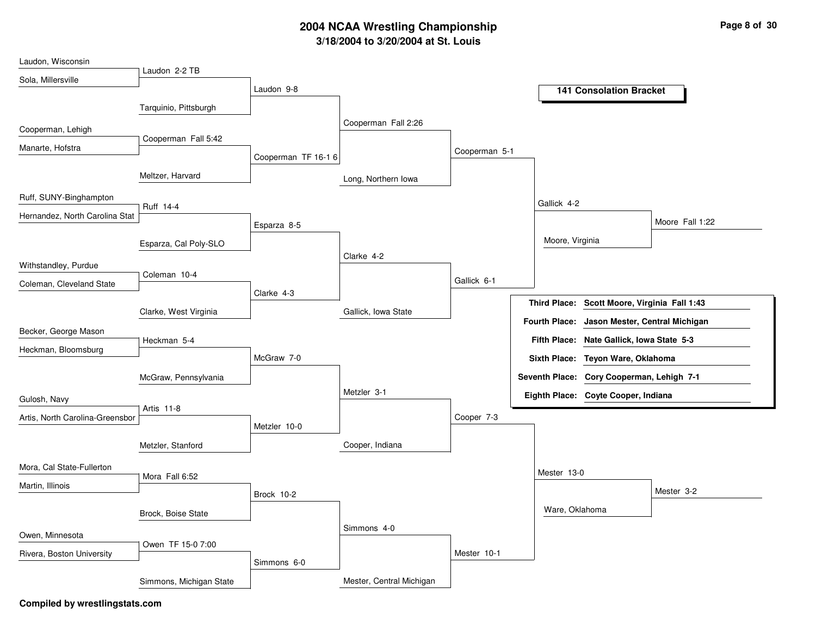| Laudon, Wisconsin               |                         |                     |                          |               |                      |                                           |                 |
|---------------------------------|-------------------------|---------------------|--------------------------|---------------|----------------------|-------------------------------------------|-----------------|
| Sola, Millersville              | Laudon 2-2 TB           |                     |                          |               |                      |                                           |                 |
|                                 |                         | Laudon 9-8          |                          |               |                      | <b>141 Consolation Bracket</b>            |                 |
|                                 | Tarquinio, Pittsburgh   |                     |                          |               |                      |                                           |                 |
| Cooperman, Lehigh               |                         |                     | Cooperman Fall 2:26      |               |                      |                                           |                 |
|                                 | Cooperman Fall 5:42     |                     |                          |               |                      |                                           |                 |
| Manarte, Hofstra                |                         | Cooperman TF 16-1 6 |                          | Cooperman 5-1 |                      |                                           |                 |
|                                 | Meltzer, Harvard        |                     | Long, Northern Iowa      |               |                      |                                           |                 |
| Ruff, SUNY-Binghampton          | Ruff 14-4               |                     |                          |               | Gallick 4-2          |                                           |                 |
| Hernandez, North Carolina Stat  |                         |                     |                          |               |                      |                                           | Moore Fall 1:22 |
|                                 |                         | Esparza 8-5         |                          |               |                      |                                           |                 |
|                                 | Esparza, Cal Poly-SLO   |                     |                          |               | Moore, Virginia      |                                           |                 |
| Withstandley, Purdue            |                         |                     | Clarke 4-2               |               |                      |                                           |                 |
| Coleman, Cleveland State        | Coleman 10-4            |                     |                          | Gallick 6-1   |                      |                                           |                 |
|                                 |                         | Clarke 4-3          |                          |               |                      |                                           |                 |
|                                 | Clarke, West Virginia   |                     | Gallick, Iowa State      |               | <b>Third Place:</b>  | Scott Moore, Virginia Fall 1:43           |                 |
| Becker, George Mason            |                         |                     |                          |               | <b>Fourth Place:</b> | Jason Mester, Central Michigan            |                 |
|                                 | Heckman 5-4             |                     |                          |               | <b>Fifth Place:</b>  | Nate Gallick, Iowa State 5-3              |                 |
| Heckman, Bloomsburg             |                         | McGraw 7-0          |                          |               |                      | Sixth Place: Teyon Ware, Oklahoma         |                 |
|                                 | McGraw, Pennsylvania    |                     |                          |               |                      | Seventh Place: Cory Cooperman, Lehigh 7-1 |                 |
|                                 |                         |                     | Metzler 3-1              |               |                      |                                           |                 |
| Gulosh, Navy                    | Artis 11-8              |                     |                          |               |                      | Eighth Place: Coyte Cooper, Indiana       |                 |
| Artis, North Carolina-Greensbor |                         |                     |                          | Cooper 7-3    |                      |                                           |                 |
|                                 |                         | Metzler 10-0        |                          |               |                      |                                           |                 |
|                                 | Metzler, Stanford       |                     | Cooper, Indiana          |               |                      |                                           |                 |
| Mora, Cal State-Fullerton       |                         |                     |                          |               |                      |                                           |                 |
| Martin, Illinois                | Mora Fall 6:52          |                     |                          |               | Mester 13-0          |                                           |                 |
|                                 |                         | Brock 10-2          |                          |               |                      |                                           | Mester 3-2      |
|                                 | Brock, Boise State      |                     |                          |               | Ware, Oklahoma       |                                           |                 |
|                                 |                         |                     | Simmons 4-0              |               |                      |                                           |                 |
| Owen, Minnesota                 | Owen TF 15-0 7:00       |                     |                          |               |                      |                                           |                 |
| Rivera, Boston University       |                         | Simmons 6-0         |                          | Mester 10-1   |                      |                                           |                 |
|                                 |                         |                     |                          |               |                      |                                           |                 |
|                                 | Simmons, Michigan State |                     | Mester, Central Michigan |               |                      |                                           |                 |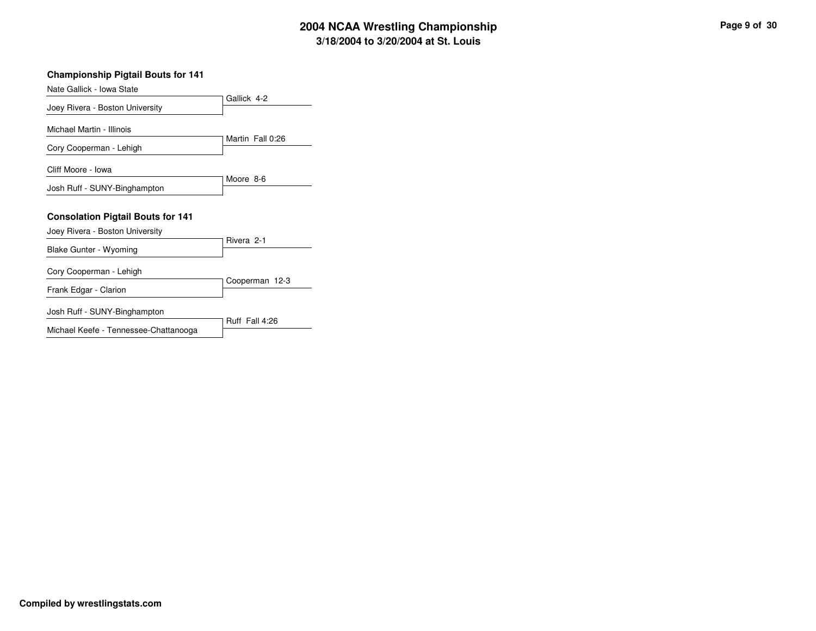| p | Page 9 of 30 |  |
|---|--------------|--|
|   |              |  |

#### **Championship Pigtail Bouts for 141**

| Nate Gallick - Iowa State                                                   |                  |
|-----------------------------------------------------------------------------|------------------|
| Joey Rivera - Boston University                                             | Gallick 4-2      |
| Michael Martin - Illinois                                                   |                  |
| Cory Cooperman - Lehigh                                                     | Martin Fall 0:26 |
| Cliff Moore - Iowa                                                          |                  |
| Josh Ruff - SUNY-Binghampton                                                | Moore 8-6        |
| <b>Consolation Pigtail Bouts for 141</b><br>Joey Rivera - Boston University |                  |
| Blake Gunter - Wyoming                                                      | Rivera 2-1       |
|                                                                             |                  |
| Cory Cooperman - Lehigh                                                     |                  |
| Frank Edgar - Clarion                                                       | Cooperman 12-3   |
| Josh Ruff - SUNY-Binghampton                                                | Ruff Fall 4:26   |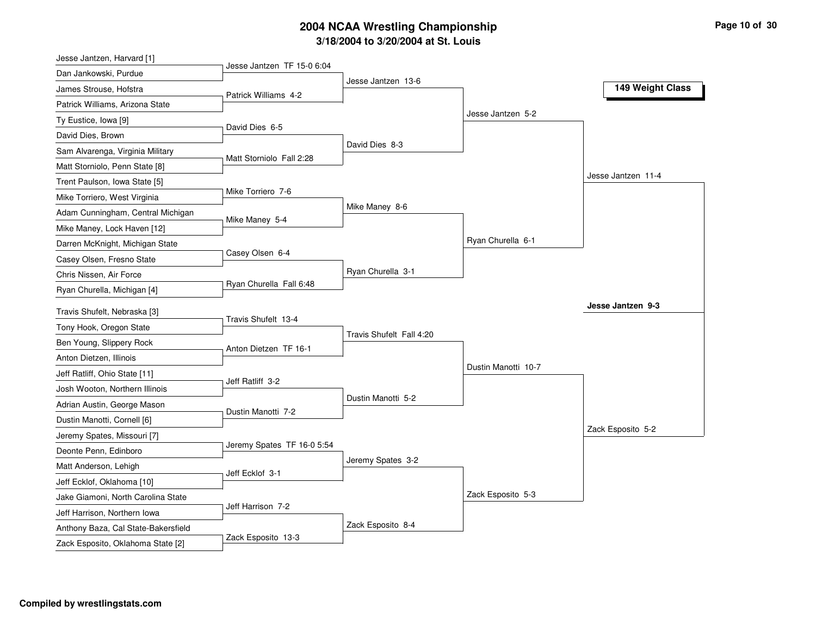| Jesse Jantzen, Harvard [1]          |                            |                          |                     |                    |
|-------------------------------------|----------------------------|--------------------------|---------------------|--------------------|
| Dan Jankowski, Purdue               | Jesse Jantzen TF 15-0 6:04 |                          |                     |                    |
| James Strouse, Hofstra              | Patrick Williams 4-2       | Jesse Jantzen 13-6       |                     | 149 Weight Class   |
| Patrick Williams, Arizona State     |                            |                          |                     |                    |
| Ty Eustice, Iowa [9]                |                            |                          | Jesse Jantzen 5-2   |                    |
| David Dies, Brown                   | David Dies 6-5             |                          |                     |                    |
| Sam Alvarenga, Virginia Military    |                            | David Dies 8-3           |                     |                    |
| Matt Storniolo, Penn State [8]      | Matt Storniolo Fall 2:28   |                          |                     |                    |
| Trent Paulson, Iowa State [5]       |                            |                          |                     | Jesse Jantzen 11-4 |
| Mike Torriero, West Virginia        | Mike Torriero 7-6          |                          |                     |                    |
| Adam Cunningham, Central Michigan   | Mike Maney 5-4             | Mike Maney 8-6           |                     |                    |
| Mike Maney, Lock Haven [12]         |                            |                          |                     |                    |
| Darren McKnight, Michigan State     |                            |                          | Ryan Churella 6-1   |                    |
| Casey Olsen, Fresno State           | Casey Olsen 6-4            |                          |                     |                    |
| Chris Nissen, Air Force             |                            | Ryan Churella 3-1        |                     |                    |
| Ryan Churella, Michigan [4]         | Ryan Churella Fall 6:48    |                          |                     |                    |
| Travis Shufelt, Nebraska [3]        |                            |                          |                     | Jesse Jantzen 9-3  |
| Tony Hook, Oregon State             | Travis Shufelt 13-4        |                          |                     |                    |
| Ben Young, Slippery Rock            |                            | Travis Shufelt Fall 4:20 |                     |                    |
| Anton Dietzen, Illinois             | Anton Dietzen TF 16-1      |                          |                     |                    |
| Jeff Ratliff, Ohio State [11]       |                            |                          | Dustin Manotti 10-7 |                    |
| Josh Wooton, Northern Illinois      | Jeff Ratliff 3-2           |                          |                     |                    |
| Adrian Austin, George Mason         |                            | Dustin Manotti 5-2       |                     |                    |
| Dustin Manotti, Cornell [6]         | Dustin Manotti 7-2         |                          |                     |                    |
| Jeremy Spates, Missouri [7]         |                            |                          |                     | Zack Esposito 5-2  |
| Deonte Penn, Edinboro               | Jeremy Spates TF 16-0 5:54 |                          |                     |                    |
| Matt Anderson, Lehigh               |                            | Jeremy Spates 3-2        |                     |                    |
| Jeff Ecklof, Oklahoma [10]          | Jeff Ecklof 3-1            |                          |                     |                    |
| Jake Giamoni, North Carolina State  |                            |                          | Zack Esposito 5-3   |                    |
| Jeff Harrison, Northern Iowa        | Jeff Harrison 7-2          |                          |                     |                    |
| Anthony Baza, Cal State-Bakersfield |                            | Zack Esposito 8-4        |                     |                    |
|                                     | Zack Esposito 13-3         |                          |                     |                    |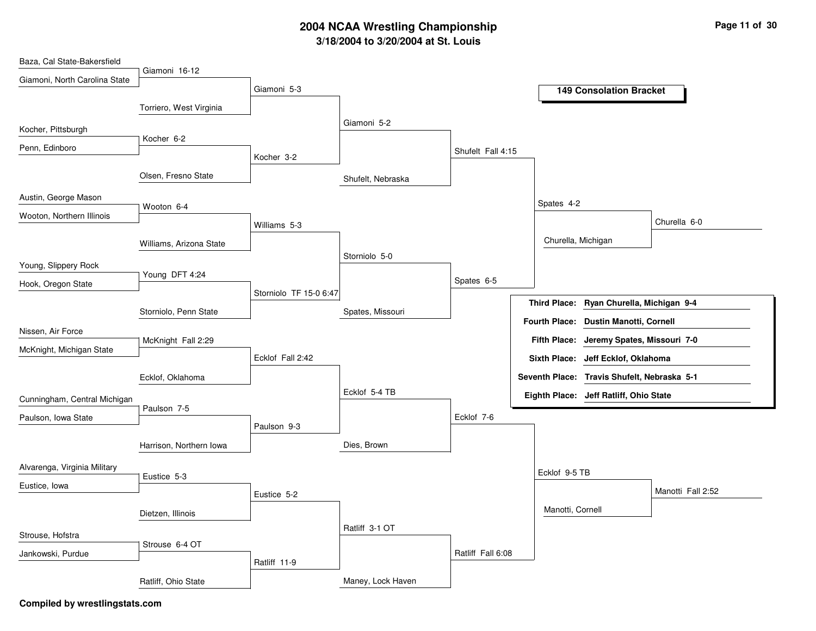| Baza, Cal State-Bakersfield   |                         |                        |                   |                   |                     |                                             |                   |
|-------------------------------|-------------------------|------------------------|-------------------|-------------------|---------------------|---------------------------------------------|-------------------|
| Giamoni, North Carolina State | Giamoni 16-12           | Giamoni 5-3            |                   |                   |                     |                                             |                   |
|                               | Torriero, West Virginia |                        |                   |                   |                     | <b>149 Consolation Bracket</b>              |                   |
| Kocher, Pittsburgh            | Kocher 6-2              |                        | Giamoni 5-2       |                   |                     |                                             |                   |
| Penn, Edinboro                |                         | Kocher 3-2             |                   | Shufelt Fall 4:15 |                     |                                             |                   |
|                               | Olsen, Fresno State     |                        | Shufelt, Nebraska |                   |                     |                                             |                   |
| Austin, George Mason          | Wooton 6-4              |                        |                   |                   | Spates 4-2          |                                             |                   |
| Wooton, Northern Illinois     |                         | Williams 5-3           |                   |                   |                     |                                             | Churella 6-0      |
|                               | Williams, Arizona State |                        | Storniolo 5-0     |                   | Churella, Michigan  |                                             |                   |
| Young, Slippery Rock          | Young DFT 4:24          |                        |                   |                   |                     |                                             |                   |
| Hook, Oregon State            |                         | Storniolo TF 15-0 6:47 |                   | Spates 6-5        | <b>Third Place:</b> | Ryan Churella, Michigan 9-4                 |                   |
|                               | Storniolo, Penn State   |                        | Spates, Missouri  |                   |                     | Fourth Place: Dustin Manotti, Cornell       |                   |
| Nissen, Air Force             | McKnight Fall 2:29      |                        |                   |                   |                     | Fifth Place: Jeremy Spates, Missouri 7-0    |                   |
| McKnight, Michigan State      |                         | Ecklof Fall 2:42       |                   |                   |                     | Sixth Place: Jeff Ecklof, Oklahoma          |                   |
|                               | Ecklof, Oklahoma        |                        | Ecklof 5-4 TB     |                   |                     | Seventh Place: Travis Shufelt, Nebraska 5-1 |                   |
| Cunningham, Central Michigan  | Paulson 7-5             |                        |                   |                   |                     | Eighth Place: Jeff Ratliff, Ohio State      |                   |
| Paulson, Iowa State           |                         | Paulson 9-3            |                   | Ecklof 7-6        |                     |                                             |                   |
|                               | Harrison, Northern Iowa |                        | Dies, Brown       |                   |                     |                                             |                   |
| Alvarenga, Virginia Military  | Eustice 5-3             |                        |                   |                   | Ecklof 9-5 TB       |                                             |                   |
| Eustice, Iowa                 |                         | Eustice 5-2            |                   |                   |                     |                                             | Manotti Fall 2:52 |
|                               | Dietzen, Illinois       |                        | Ratliff 3-1 OT    |                   | Manotti, Cornell    |                                             |                   |
| Strouse, Hofstra              | Strouse 6-4 OT          |                        |                   |                   |                     |                                             |                   |
| Jankowski, Purdue             |                         | Ratliff 11-9           |                   | Ratliff Fall 6:08 |                     |                                             |                   |
|                               | Ratliff, Ohio State     |                        | Maney, Lock Haven |                   |                     |                                             |                   |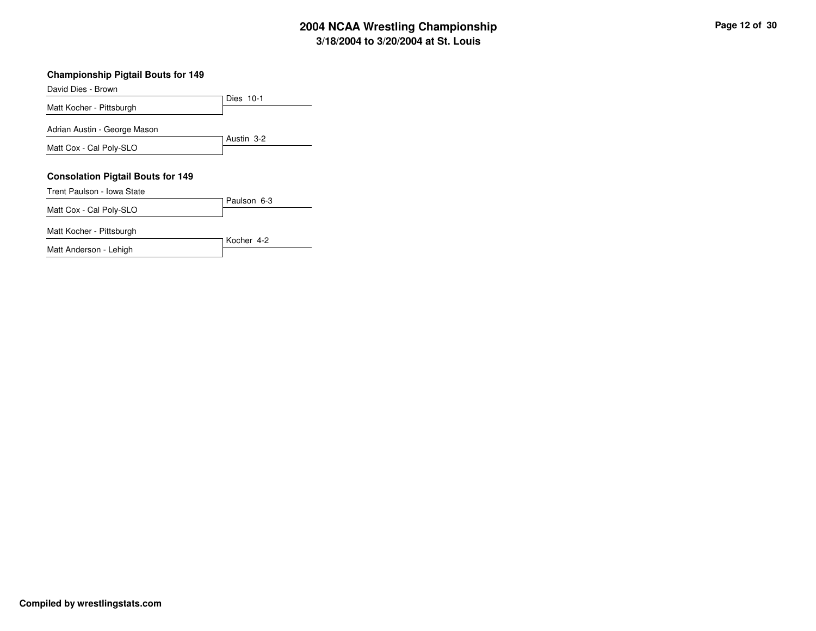#### **Championship Pigtail Bouts for 149**

Dies 10-1David Dies - BrownMatt Kocher - PittsburghAustin 3-2Adrian Austin - George MasonMatt Cox - Cal Poly-SLO**Consolation Pigtail Bouts for 149**Paulson 6-3Trent Paulson - Iowa StateMatt Cox - Cal Poly-SLOKocher 4-2Matt Kocher - Pittsburgh

Matt Anderson - Lehigh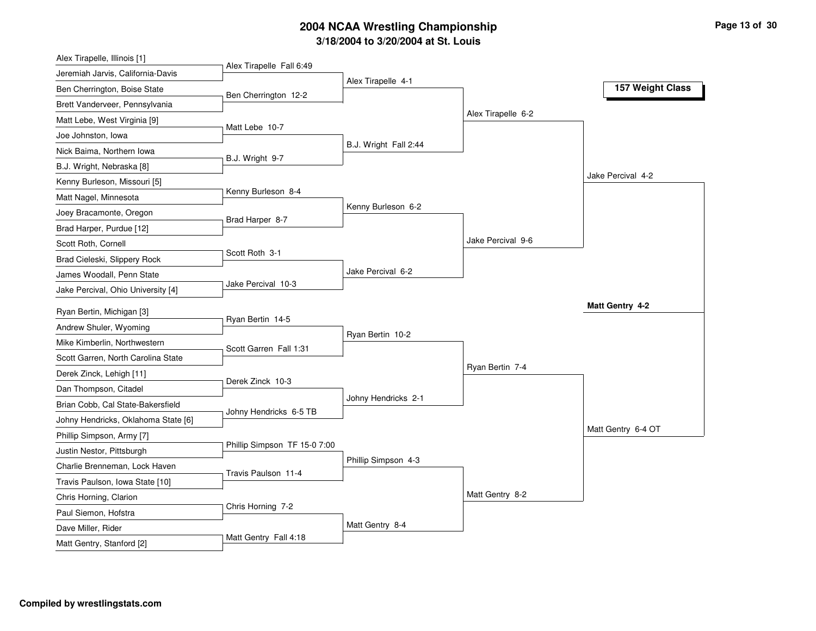| Alex Tirapelle, Illinois [1]        |                              |                       |                    |                    |
|-------------------------------------|------------------------------|-----------------------|--------------------|--------------------|
| Jeremiah Jarvis, California-Davis   | Alex Tirapelle Fall 6:49     |                       |                    |                    |
| Ben Cherrington, Boise State        | Ben Cherrington 12-2         | Alex Tirapelle 4-1    |                    | 157 Weight Class   |
| Brett Vanderveer, Pennsylvania      |                              |                       |                    |                    |
| Matt Lebe, West Virginia [9]        |                              |                       | Alex Tirapelle 6-2 |                    |
| Joe Johnston, Iowa                  | Matt Lebe 10-7               |                       |                    |                    |
| Nick Baima, Northern Iowa           |                              | B.J. Wright Fall 2:44 |                    |                    |
| B.J. Wright, Nebraska [8]           | B.J. Wright 9-7              |                       |                    |                    |
| Kenny Burleson, Missouri [5]        |                              |                       |                    | Jake Percival 4-2  |
| Matt Nagel, Minnesota               | Kenny Burleson 8-4           |                       |                    |                    |
| Joey Bracamonte, Oregon             |                              | Kenny Burleson 6-2    |                    |                    |
| Brad Harper, Purdue [12]            | Brad Harper 8-7              |                       |                    |                    |
| Scott Roth, Cornell                 |                              |                       | Jake Percival 9-6  |                    |
| Brad Cieleski, Slippery Rock        | Scott Roth 3-1               |                       |                    |                    |
| James Woodall, Penn State           |                              | Jake Percival 6-2     |                    |                    |
| Jake Percival, Ohio University [4]  | Jake Percival 10-3           |                       |                    |                    |
| Ryan Bertin, Michigan [3]           |                              |                       |                    | Matt Gentry 4-2    |
| Andrew Shuler, Wyoming              | Ryan Bertin 14-5             |                       |                    |                    |
| Mike Kimberlin, Northwestern        |                              | Ryan Bertin 10-2      |                    |                    |
| Scott Garren, North Carolina State  | Scott Garren Fall 1:31       |                       |                    |                    |
| Derek Zinck, Lehigh [11]            |                              |                       | Ryan Bertin 7-4    |                    |
| Dan Thompson, Citadel               | Derek Zinck 10-3             |                       |                    |                    |
| Brian Cobb, Cal State-Bakersfield   |                              | Johny Hendricks 2-1   |                    |                    |
| Johny Hendricks, Oklahoma State [6] | Johny Hendricks 6-5 TB       |                       |                    |                    |
| Phillip Simpson, Army [7]           |                              |                       |                    | Matt Gentry 6-4 OT |
| Justin Nestor, Pittsburgh           | Phillip Simpson TF 15-0 7:00 |                       |                    |                    |
| Charlie Brenneman, Lock Haven       |                              | Phillip Simpson 4-3   |                    |                    |
| Travis Paulson, Iowa State [10]     | Travis Paulson 11-4          |                       |                    |                    |
| Chris Horning, Clarion              |                              |                       | Matt Gentry 8-2    |                    |
| Paul Siemon, Hofstra                | Chris Horning 7-2            |                       |                    |                    |
|                                     |                              |                       |                    |                    |
| Dave Miller, Rider                  |                              | Matt Gentry 8-4       |                    |                    |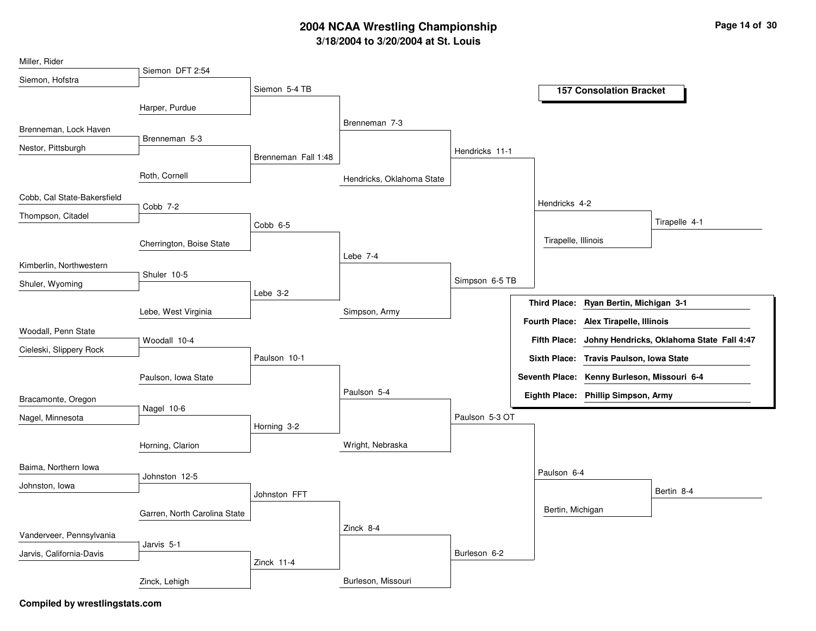| Miller, Rider               |                              |                     |                           |                |                       |                                         |                                           |
|-----------------------------|------------------------------|---------------------|---------------------------|----------------|-----------------------|-----------------------------------------|-------------------------------------------|
| Siemon, Hofstra             | Siemon DFT 2:54              |                     |                           |                |                       |                                         |                                           |
|                             |                              | Siemon 5-4 TB       |                           |                |                       | <b>157 Consolation Bracket</b>          |                                           |
|                             | Harper, Purdue               |                     |                           |                |                       |                                         |                                           |
| Brenneman, Lock Haven       |                              |                     | Brenneman 7-3             |                |                       |                                         |                                           |
| Nestor, Pittsburgh          | Brenneman 5-3                |                     |                           |                |                       |                                         |                                           |
|                             |                              | Brenneman Fall 1:48 |                           | Hendricks 11-1 |                       |                                         |                                           |
|                             | Roth, Cornell                |                     | Hendricks, Oklahoma State |                |                       |                                         |                                           |
| Cobb, Cal State-Bakersfield |                              |                     |                           |                | Hendricks 4-2         |                                         |                                           |
| Thompson, Citadel           | Cobb 7-2                     |                     |                           |                |                       |                                         | Tirapelle 4-1                             |
|                             |                              | Cobb 6-5            |                           |                |                       |                                         |                                           |
|                             | Cherrington, Boise State     |                     |                           |                | Tirapelle, Illinois   |                                         |                                           |
| Kimberlin, Northwestern     |                              |                     | Lebe 7-4                  |                |                       |                                         |                                           |
| Shuler, Wyoming             | Shuler 10-5                  |                     |                           | Simpson 6-5 TB |                       |                                         |                                           |
|                             |                              | Lebe 3-2            |                           |                |                       | Third Place: Ryan Bertin, Michigan 3-1  |                                           |
|                             | Lebe, West Virginia          |                     | Simpson, Army             |                |                       |                                         |                                           |
| Woodall, Penn State         |                              |                     |                           |                | <b>Fourth Place:</b>  | Alex Tirapelle, Illinois                |                                           |
| Cieleski, Slippery Rock     | Woodall 10-4                 |                     |                           |                | <b>Fifth Place:</b>   |                                         | Johny Hendricks, Oklahoma State Fall 4:47 |
|                             |                              | Paulson 10-1        |                           |                |                       | Sixth Place: Travis Paulson, Iowa State |                                           |
|                             | Paulson, Iowa State          |                     |                           |                | <b>Seventh Place:</b> | Kenny Burleson, Missouri 6-4            |                                           |
| Bracamonte, Oregon          |                              |                     | Paulson 5-4               |                |                       | Eighth Place: Phillip Simpson, Army     |                                           |
|                             | Nagel 10-6                   |                     |                           | Paulson 5-3 OT |                       |                                         |                                           |
| Nagel, Minnesota            |                              | Horning 3-2         |                           |                |                       |                                         |                                           |
|                             | Horning, Clarion             |                     | Wright, Nebraska          |                |                       |                                         |                                           |
|                             |                              |                     |                           |                |                       |                                         |                                           |
| Baima, Northern Iowa        | Johnston 12-5                |                     |                           |                | Paulson 6-4           |                                         |                                           |
| Johnston, Iowa              |                              | Johnston FFT        |                           |                |                       |                                         | Bertin 8-4                                |
|                             | Garren, North Carolina State |                     |                           |                | Bertin, Michigan      |                                         |                                           |
|                             |                              |                     | Zinck 8-4                 |                |                       |                                         |                                           |
| Vanderveer, Pennsylvania    | Jarvis 5-1                   |                     |                           |                |                       |                                         |                                           |
| Jarvis, California-Davis    |                              | Zinck 11-4          |                           | Burleson 6-2   |                       |                                         |                                           |
|                             | Zinck, Lehigh                |                     | Burleson, Missouri        |                |                       |                                         |                                           |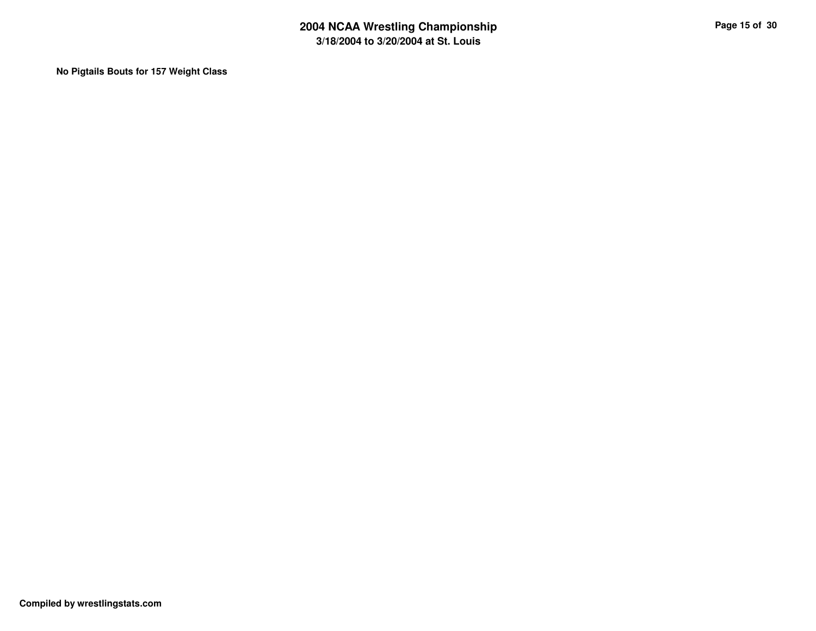**No Pigtails Bouts for 157 Weight Class**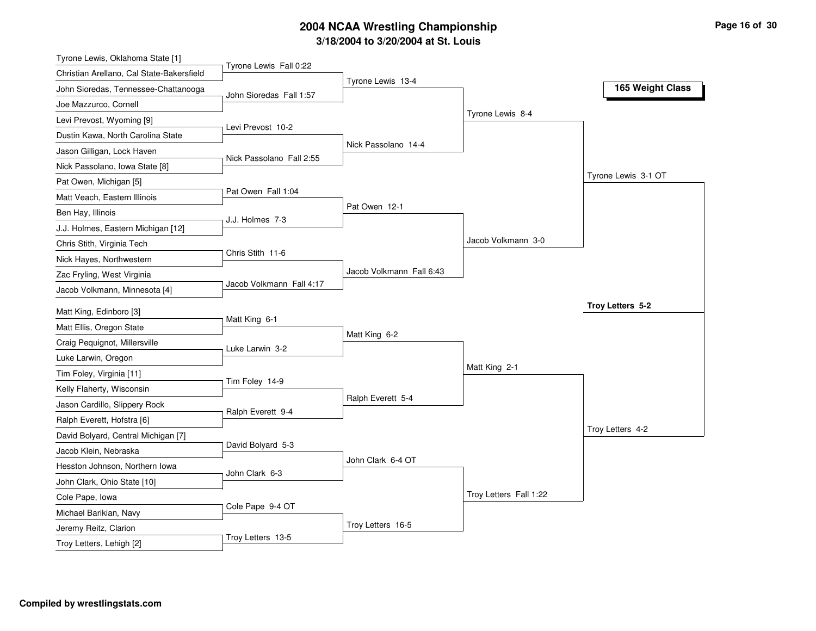| Tyrone Lewis, Oklahoma State [1]                |                          |                          |                        |                     |
|-------------------------------------------------|--------------------------|--------------------------|------------------------|---------------------|
| Christian Arellano, Cal State-Bakersfield       | Tyrone Lewis Fall 0:22   |                          |                        |                     |
| John Sioredas, Tennessee-Chattanooga            | John Sioredas Fall 1:57  | Tyrone Lewis 13-4        |                        | 165 Weight Class    |
| Joe Mazzurco, Cornell                           |                          |                          |                        |                     |
| Levi Prevost, Wyoming [9]                       |                          |                          | Tyrone Lewis 8-4       |                     |
| Dustin Kawa, North Carolina State               | Levi Prevost 10-2        |                          |                        |                     |
| Jason Gilligan, Lock Haven                      |                          | Nick Passolano 14-4      |                        |                     |
| Nick Passolano, Iowa State [8]                  | Nick Passolano Fall 2:55 |                          |                        |                     |
| Pat Owen, Michigan [5]                          |                          |                          |                        | Tyrone Lewis 3-1 OT |
| Matt Veach, Eastern Illinois                    | Pat Owen Fall 1:04       |                          |                        |                     |
| Ben Hay, Illinois                               |                          | Pat Owen 12-1            |                        |                     |
| J.J. Holmes, Eastern Michigan [12]              | J.J. Holmes 7-3          |                          |                        |                     |
| Chris Stith, Virginia Tech                      |                          |                          | Jacob Volkmann 3-0     |                     |
| Nick Hayes, Northwestern                        | Chris Stith 11-6         |                          |                        |                     |
| Zac Fryling, West Virginia                      |                          | Jacob Volkmann Fall 6:43 |                        |                     |
| Jacob Volkmann, Minnesota [4]                   | Jacob Volkmann Fall 4:17 |                          |                        |                     |
| Matt King, Edinboro [3]                         |                          |                          |                        | Troy Letters 5-2    |
| Matt Ellis, Oregon State                        | Matt King 6-1            |                          |                        |                     |
| Craig Pequignot, Millersville                   |                          | Matt King 6-2            |                        |                     |
| Luke Larwin, Oregon                             | Luke Larwin 3-2          |                          |                        |                     |
| Tim Foley, Virginia [11]                        |                          |                          | Matt King 2-1          |                     |
| Kelly Flaherty, Wisconsin                       | Tim Foley 14-9           |                          |                        |                     |
| Jason Cardillo, Slippery Rock                   |                          | Ralph Everett 5-4        |                        |                     |
| Ralph Everett, Hofstra [6]                      | Ralph Everett 9-4        |                          |                        |                     |
| David Bolyard, Central Michigan [7]             |                          |                          |                        | Troy Letters 4-2    |
| Jacob Klein, Nebraska                           | David Bolyard 5-3        |                          |                        |                     |
| Hesston Johnson, Northern Iowa                  |                          | John Clark 6-4 OT        |                        |                     |
|                                                 | John Clark 6-3           |                          |                        |                     |
| John Clark, Ohio State [10]                     |                          |                          | Troy Letters Fall 1:22 |                     |
| Cole Pape, Iowa                                 | Cole Pape 9-4 OT         |                          |                        |                     |
| Michael Barikian, Navy<br>Jeremy Reitz, Clarion |                          |                          |                        |                     |
|                                                 |                          | Troy Letters 16-5        |                        |                     |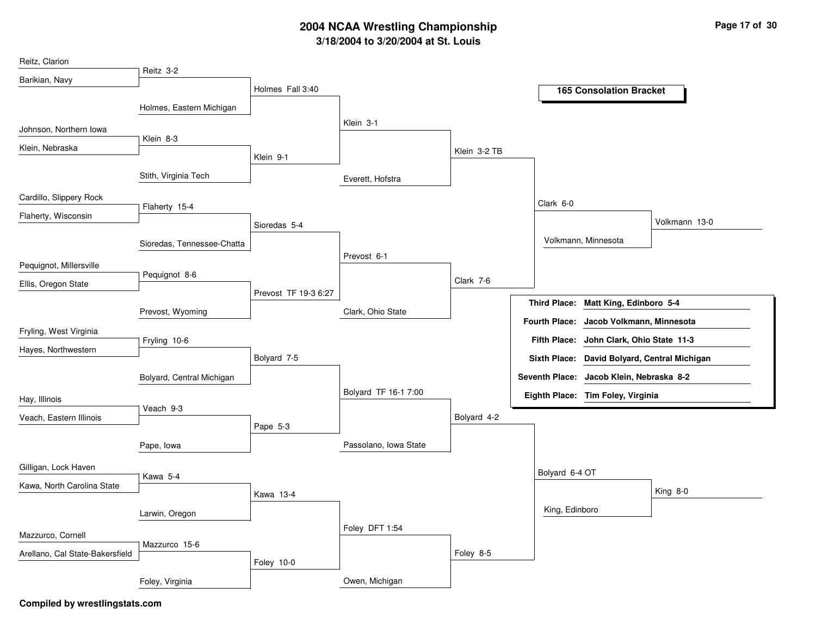| Reitz, Clarion                  |                            |                      |                       |              |                     |                                              |               |
|---------------------------------|----------------------------|----------------------|-----------------------|--------------|---------------------|----------------------------------------------|---------------|
| Barikian, Navy                  | Reitz 3-2                  |                      |                       |              |                     |                                              |               |
|                                 |                            | Holmes Fall 3:40     |                       |              |                     | <b>165 Consolation Bracket</b>               |               |
|                                 | Holmes, Eastern Michigan   |                      |                       |              |                     |                                              |               |
| Johnson, Northern Iowa          |                            |                      | Klein 3-1             |              |                     |                                              |               |
| Klein, Nebraska                 | Klein 8-3                  |                      |                       |              |                     |                                              |               |
|                                 |                            | Klein 9-1            |                       | Klein 3-2 TB |                     |                                              |               |
|                                 | Stith, Virginia Tech       |                      | Everett, Hofstra      |              |                     |                                              |               |
| Cardillo, Slippery Rock         |                            |                      |                       |              |                     |                                              |               |
| Flaherty, Wisconsin             | Flaherty 15-4              |                      |                       |              | Clark 6-0           |                                              |               |
|                                 |                            | Sioredas 5-4         |                       |              |                     |                                              | Volkmann 13-0 |
|                                 | Sioredas, Tennessee-Chatta |                      |                       |              |                     | Volkmann, Minnesota                          |               |
| Pequignot, Millersville         |                            |                      | Prevost 6-1           |              |                     |                                              |               |
| Ellis, Oregon State             | Pequignot 8-6              |                      |                       | Clark 7-6    |                     |                                              |               |
|                                 |                            | Prevost TF 19-3 6:27 |                       |              |                     |                                              |               |
|                                 | Prevost, Wyoming           |                      | Clark, Ohio State     |              | <b>Third Place:</b> | Matt King, Edinboro 5-4                      |               |
| Fryling, West Virginia          |                            |                      |                       |              |                     | Fourth Place: Jacob Volkmann, Minnesota      |               |
| Hayes, Northwestern             | Fryling 10-6               |                      |                       |              |                     | Fifth Place: John Clark, Ohio State 11-3     |               |
|                                 |                            | Bolyard 7-5          |                       |              |                     | Sixth Place: David Bolyard, Central Michigan |               |
|                                 | Bolyard, Central Michigan  |                      |                       |              |                     | Seventh Place: Jacob Klein, Nebraska 8-2     |               |
| Hay, Illinois                   |                            |                      | Bolyard TF 16-1 7:00  |              |                     | Eighth Place: Tim Foley, Virginia            |               |
| Veach, Eastern Illinois         | Veach 9-3                  |                      |                       | Bolyard 4-2  |                     |                                              |               |
|                                 |                            | Pape 5-3             |                       |              |                     |                                              |               |
|                                 | Pape, Iowa                 |                      | Passolano, Iowa State |              |                     |                                              |               |
| Gilligan, Lock Haven            |                            |                      |                       |              |                     |                                              |               |
| Kawa, North Carolina State      | Kawa 5-4                   |                      |                       |              | Bolyard 6-4 OT      |                                              |               |
|                                 |                            | Kawa 13-4            |                       |              |                     |                                              | King 8-0      |
|                                 | Larwin, Oregon             |                      |                       |              | King, Edinboro      |                                              |               |
| Mazzurco, Cornell               |                            |                      | Foley DFT 1:54        |              |                     |                                              |               |
|                                 | Mazzurco 15-6              |                      |                       |              |                     |                                              |               |
| Arellano, Cal State-Bakersfield |                            | Foley 10-0           |                       | Foley 8-5    |                     |                                              |               |
|                                 | Foley, Virginia            |                      | Owen, Michigan        |              |                     |                                              |               |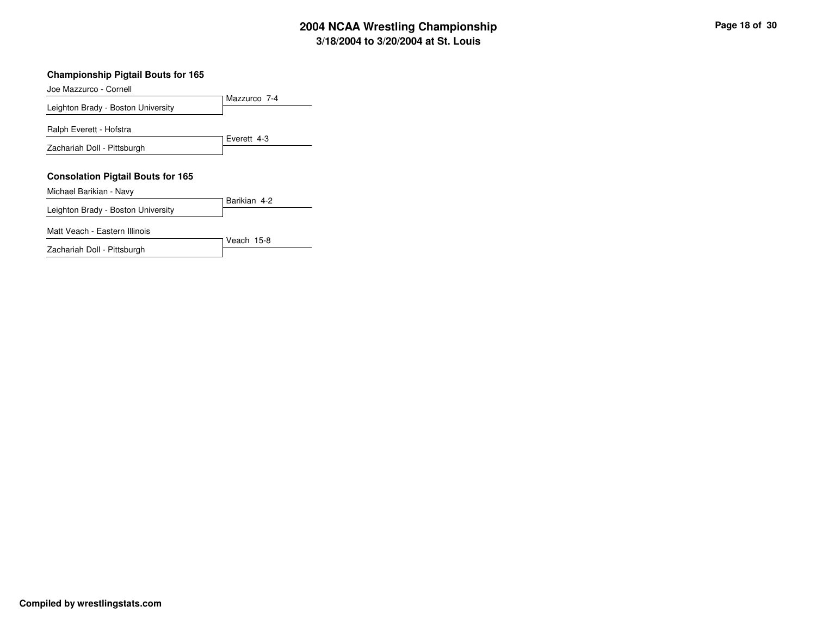#### **Championship Pigtail Bouts for 165**

Mazzurco 7-4Joe Mazzurco - CornellLeighton Brady - Boston UniversityEverett 4-3Ralph Everett - HofstraZachariah Doll - Pittsburgh**Consolation Pigtail Bouts for 165**Barikian 4-2Michael Barikian - NavyLeighton Brady - Boston UniversityMatt Veach - Eastern Illinois

Veach 15-8Zachariah Doll - Pittsburgh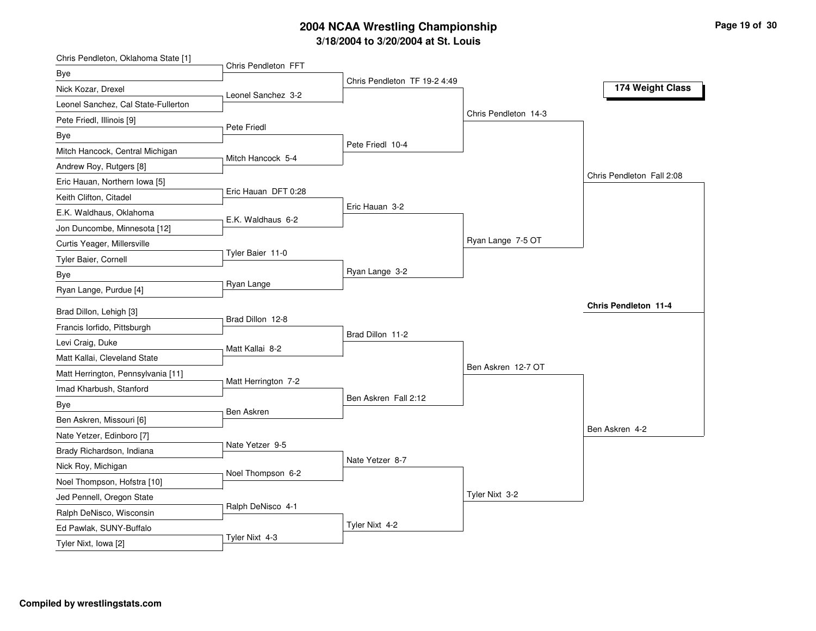| Chris Pendleton, Oklahoma State [1] | Chris Pendleton FFT |                              |                      |                           |
|-------------------------------------|---------------------|------------------------------|----------------------|---------------------------|
| Bye                                 |                     |                              |                      |                           |
| Nick Kozar, Drexel                  | Leonel Sanchez 3-2  | Chris Pendleton TF 19-2 4:49 |                      | 174 Weight Class          |
| Leonel Sanchez, Cal State-Fullerton |                     |                              |                      |                           |
| Pete Friedl, Illinois [9]           |                     |                              | Chris Pendleton 14-3 |                           |
| Bye                                 | Pete Friedl         |                              |                      |                           |
| Mitch Hancock, Central Michigan     |                     | Pete Friedl 10-4             |                      |                           |
| Andrew Roy, Rutgers [8]             | Mitch Hancock 5-4   |                              |                      |                           |
| Eric Hauan, Northern Iowa [5]       |                     |                              |                      | Chris Pendleton Fall 2:08 |
| Keith Clifton, Citadel              | Eric Hauan DFT 0:28 |                              |                      |                           |
| E.K. Waldhaus, Oklahoma             |                     | Eric Hauan 3-2               |                      |                           |
| Jon Duncombe, Minnesota [12]        | E.K. Waldhaus 6-2   |                              |                      |                           |
| Curtis Yeager, Millersville         |                     |                              | Ryan Lange 7-5 OT    |                           |
| Tyler Baier, Cornell                | Tyler Baier 11-0    |                              |                      |                           |
| Bye                                 |                     | Ryan Lange 3-2               |                      |                           |
| Ryan Lange, Purdue [4]              | Ryan Lange          |                              |                      |                           |
| Brad Dillon, Lehigh [3]             |                     |                              |                      | Chris Pendleton 11-4      |
| Francis lorfido, Pittsburgh         | Brad Dillon 12-8    |                              |                      |                           |
| Levi Craig, Duke                    |                     | Brad Dillon 11-2             |                      |                           |
|                                     | Matt Kallai 8-2     |                              |                      |                           |
| Matt Kallai, Cleveland State        |                     |                              | Ben Askren 12-7 OT   |                           |
| Matt Herrington, Pennsylvania [11]  | Matt Herrington 7-2 |                              |                      |                           |
| Imad Kharbush, Stanford             |                     | Ben Askren Fall 2:12         |                      |                           |
| Bye                                 | Ben Askren          |                              |                      |                           |
| Ben Askren, Missouri [6]            |                     |                              |                      | Ben Askren 4-2            |
| Nate Yetzer, Edinboro [7]           | Nate Yetzer 9-5     |                              |                      |                           |
| Brady Richardson, Indiana           |                     | Nate Yetzer 8-7              |                      |                           |
| Nick Roy, Michigan                  | Noel Thompson 6-2   |                              |                      |                           |
| Noel Thompson, Hofstra [10]         |                     |                              | Tyler Nixt 3-2       |                           |
| Jed Pennell, Oregon State           | Ralph DeNisco 4-1   |                              |                      |                           |
| Ralph DeNisco, Wisconsin            |                     | Tyler Nixt 4-2               |                      |                           |
| Ed Pawlak, SUNY-Buffalo             | Tyler Nixt 4-3      |                              |                      |                           |
| Tyler Nixt, Iowa [2]                |                     |                              |                      |                           |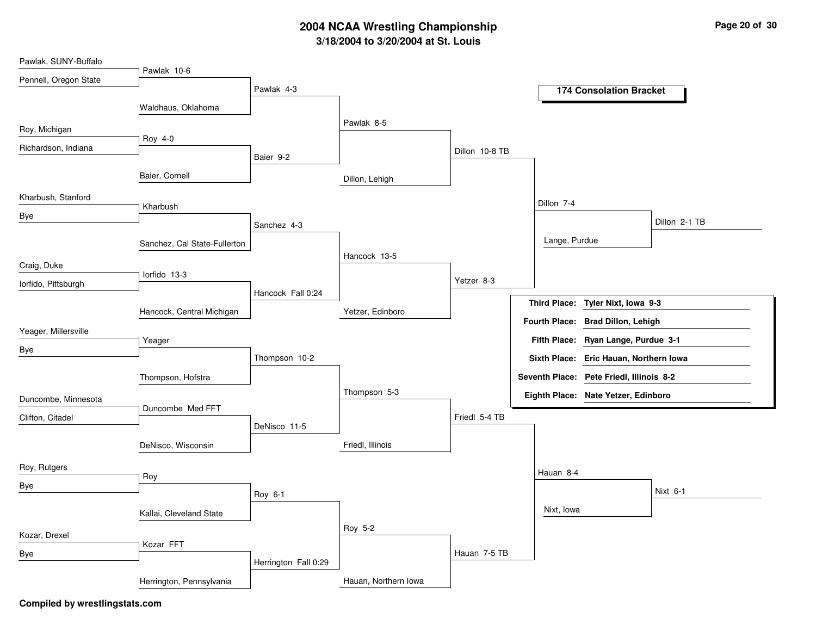| Pawlak, SUNY-Buffalo  |                              |                      |                      |                |                     |                                          |               |
|-----------------------|------------------------------|----------------------|----------------------|----------------|---------------------|------------------------------------------|---------------|
| Pennell, Oregon State | Pawlak 10-6                  |                      |                      |                |                     |                                          |               |
|                       |                              | Pawlak 4-3           |                      |                |                     | <b>174 Consolation Bracket</b>           |               |
|                       | Waldhaus, Oklahoma           |                      |                      |                |                     |                                          |               |
| Roy, Michigan         |                              |                      | Pawlak 8-5           |                |                     |                                          |               |
| Richardson, Indiana   | Roy 4-0                      |                      |                      | Dillon 10-8 TB |                     |                                          |               |
|                       |                              | Baier 9-2            |                      |                |                     |                                          |               |
|                       | Baier, Cornell               |                      | Dillon, Lehigh       |                |                     |                                          |               |
| Kharbush, Stanford    |                              |                      |                      |                |                     |                                          |               |
| Bye                   | Kharbush                     |                      |                      |                | Dillon 7-4          |                                          |               |
|                       |                              | Sanchez 4-3          |                      |                |                     |                                          | Dillon 2-1 TB |
|                       | Sanchez, Cal State-Fullerton |                      |                      |                | Lange, Purdue       |                                          |               |
| Craig, Duke           |                              |                      | Hancock 13-5         |                |                     |                                          |               |
|                       | lorfido 13-3                 |                      |                      | Yetzer 8-3     |                     |                                          |               |
| lorfido, Pittsburgh   |                              | Hancock Fall 0:24    |                      |                |                     |                                          |               |
|                       | Hancock, Central Michigan    |                      | Yetzer, Edinboro     |                | <b>Third Place:</b> | Tyler Nixt, Iowa 9-3                     |               |
| Yeager, Millersville  |                              |                      |                      |                |                     | Fourth Place: Brad Dillon, Lehigh        |               |
|                       | Yeager                       |                      |                      |                |                     | Fifth Place: Ryan Lange, Purdue 3-1      |               |
| Bye                   |                              | Thompson 10-2        |                      |                |                     | Sixth Place: Eric Hauan, Northern Iowa   |               |
|                       | Thompson, Hofstra            |                      |                      |                |                     | Seventh Place: Pete Friedl, Illinois 8-2 |               |
|                       |                              |                      | Thompson 5-3         |                |                     | Eighth Place: Nate Yetzer, Edinboro      |               |
| Duncombe, Minnesota   | Duncombe Med FFT             |                      |                      |                |                     |                                          |               |
| Clifton, Citadel      |                              | DeNisco 11-5         |                      | Friedl 5-4 TB  |                     |                                          |               |
|                       | DeNisco, Wisconsin           |                      | Friedl, Illinois     |                |                     |                                          |               |
|                       |                              |                      |                      |                |                     |                                          |               |
| Roy, Rutgers          | Roy                          |                      |                      |                | Hauan 8-4           |                                          |               |
| Bye                   |                              | Roy 6-1              |                      |                |                     |                                          | Nixt 6-1      |
|                       | Kallai, Cleveland State      |                      |                      |                | Nixt, Iowa          |                                          |               |
|                       |                              |                      | Roy 5-2              |                |                     |                                          |               |
| Kozar, Drexel         | Kozar FFT                    |                      |                      |                |                     |                                          |               |
| Bye                   |                              | Herrington Fall 0:29 |                      | Hauan 7-5 TB   |                     |                                          |               |
|                       |                              |                      |                      |                |                     |                                          |               |
|                       | Herrington, Pennsylvania     |                      | Hauan, Northern Iowa |                |                     |                                          |               |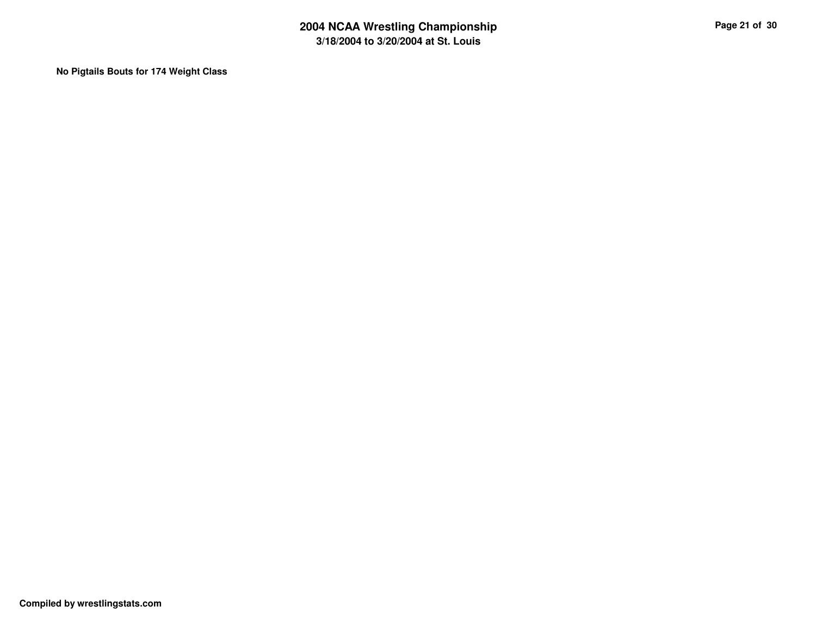**No Pigtails Bouts for 174 Weight Class**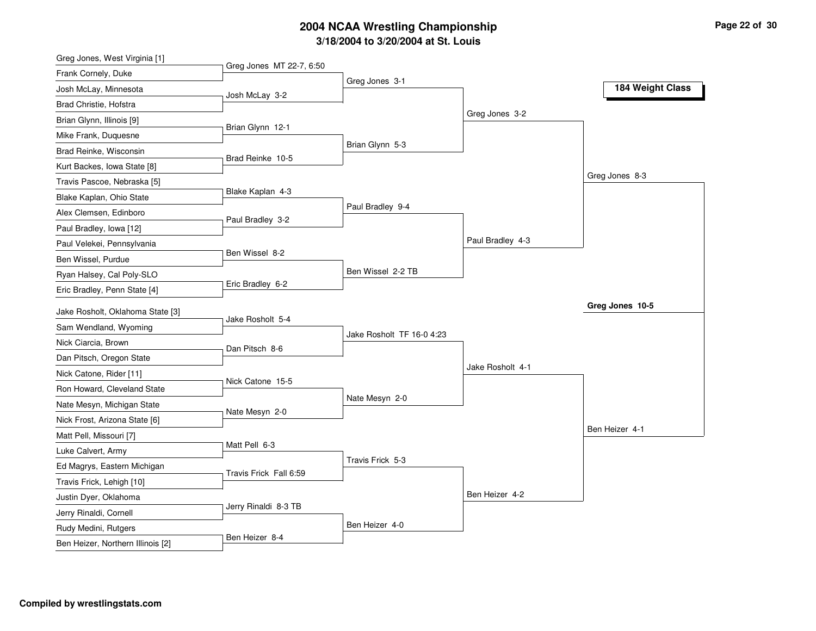| Greg Jones MT 22-7, 6:50<br>Frank Cornely, Duke<br>Greg Jones 3-1<br>184 Weight Class<br>Josh McLay, Minnesota<br>Josh McLay 3-2<br>Brad Christie, Hofstra<br>Greg Jones 3-2<br>Brian Glynn, Illinois [9]<br>Brian Glynn 12-1<br>Mike Frank, Duquesne<br>Brian Glynn 5-3<br>Brad Reinke, Wisconsin<br>Brad Reinke 10-5<br>Kurt Backes, Iowa State [8]<br>Greg Jones 8-3<br>Travis Pascoe, Nebraska [5]<br>Blake Kaplan 4-3<br>Blake Kaplan, Ohio State<br>Paul Bradley 9-4<br>Alex Clemsen, Edinboro<br>Paul Bradley 3-2<br>Paul Bradley, Iowa [12]<br>Paul Bradley 4-3<br>Paul Velekei, Pennsylvania<br>Ben Wissel 8-2<br>Ben Wissel, Purdue<br>Ben Wissel 2-2 TB<br>Ryan Halsey, Cal Poly-SLO<br>Eric Bradley 6-2<br>Eric Bradley, Penn State [4]<br>Greg Jones 10-5<br>Jake Rosholt, Oklahoma State [3]<br>Jake Rosholt 5-4<br>Sam Wendland, Wyoming<br>Jake Rosholt TF 16-0 4:23<br>Nick Ciarcia, Brown<br>Dan Pitsch 8-6<br>Dan Pitsch, Oregon State<br>Jake Rosholt 4-1<br>Nick Catone, Rider [11]<br>Nick Catone 15-5<br>Ron Howard, Cleveland State<br>Nate Mesyn 2-0<br>Nate Mesyn, Michigan State<br>Nate Mesyn 2-0<br>Nick Frost, Arizona State [6]<br>Ben Heizer 4-1<br>Matt Pell, Missouri [7]<br>Matt Pell 6-3<br>Luke Calvert, Army<br>Travis Frick 5-3<br>Ed Magrys, Eastern Michigan<br>Travis Frick Fall 6:59<br>Travis Frick, Lehigh [10]<br>Ben Heizer 4-2<br>Justin Dyer, Oklahoma<br>Jerry Rinaldi 8-3 TB<br>Jerry Rinaldi, Cornell<br>Ben Heizer 4-0<br>Rudy Medini, Rutgers<br>Ben Heizer 8-4<br>Ben Heizer, Northern Illinois [2] | Greg Jones, West Virginia [1] |  |  |
|------------------------------------------------------------------------------------------------------------------------------------------------------------------------------------------------------------------------------------------------------------------------------------------------------------------------------------------------------------------------------------------------------------------------------------------------------------------------------------------------------------------------------------------------------------------------------------------------------------------------------------------------------------------------------------------------------------------------------------------------------------------------------------------------------------------------------------------------------------------------------------------------------------------------------------------------------------------------------------------------------------------------------------------------------------------------------------------------------------------------------------------------------------------------------------------------------------------------------------------------------------------------------------------------------------------------------------------------------------------------------------------------------------------------------------------------------------------------------------------------------------------------------------------------------------|-------------------------------|--|--|
|                                                                                                                                                                                                                                                                                                                                                                                                                                                                                                                                                                                                                                                                                                                                                                                                                                                                                                                                                                                                                                                                                                                                                                                                                                                                                                                                                                                                                                                                                                                                                            |                               |  |  |
|                                                                                                                                                                                                                                                                                                                                                                                                                                                                                                                                                                                                                                                                                                                                                                                                                                                                                                                                                                                                                                                                                                                                                                                                                                                                                                                                                                                                                                                                                                                                                            |                               |  |  |
|                                                                                                                                                                                                                                                                                                                                                                                                                                                                                                                                                                                                                                                                                                                                                                                                                                                                                                                                                                                                                                                                                                                                                                                                                                                                                                                                                                                                                                                                                                                                                            |                               |  |  |
|                                                                                                                                                                                                                                                                                                                                                                                                                                                                                                                                                                                                                                                                                                                                                                                                                                                                                                                                                                                                                                                                                                                                                                                                                                                                                                                                                                                                                                                                                                                                                            |                               |  |  |
|                                                                                                                                                                                                                                                                                                                                                                                                                                                                                                                                                                                                                                                                                                                                                                                                                                                                                                                                                                                                                                                                                                                                                                                                                                                                                                                                                                                                                                                                                                                                                            |                               |  |  |
|                                                                                                                                                                                                                                                                                                                                                                                                                                                                                                                                                                                                                                                                                                                                                                                                                                                                                                                                                                                                                                                                                                                                                                                                                                                                                                                                                                                                                                                                                                                                                            |                               |  |  |
|                                                                                                                                                                                                                                                                                                                                                                                                                                                                                                                                                                                                                                                                                                                                                                                                                                                                                                                                                                                                                                                                                                                                                                                                                                                                                                                                                                                                                                                                                                                                                            |                               |  |  |
|                                                                                                                                                                                                                                                                                                                                                                                                                                                                                                                                                                                                                                                                                                                                                                                                                                                                                                                                                                                                                                                                                                                                                                                                                                                                                                                                                                                                                                                                                                                                                            |                               |  |  |
|                                                                                                                                                                                                                                                                                                                                                                                                                                                                                                                                                                                                                                                                                                                                                                                                                                                                                                                                                                                                                                                                                                                                                                                                                                                                                                                                                                                                                                                                                                                                                            |                               |  |  |
|                                                                                                                                                                                                                                                                                                                                                                                                                                                                                                                                                                                                                                                                                                                                                                                                                                                                                                                                                                                                                                                                                                                                                                                                                                                                                                                                                                                                                                                                                                                                                            |                               |  |  |
|                                                                                                                                                                                                                                                                                                                                                                                                                                                                                                                                                                                                                                                                                                                                                                                                                                                                                                                                                                                                                                                                                                                                                                                                                                                                                                                                                                                                                                                                                                                                                            |                               |  |  |
|                                                                                                                                                                                                                                                                                                                                                                                                                                                                                                                                                                                                                                                                                                                                                                                                                                                                                                                                                                                                                                                                                                                                                                                                                                                                                                                                                                                                                                                                                                                                                            |                               |  |  |
|                                                                                                                                                                                                                                                                                                                                                                                                                                                                                                                                                                                                                                                                                                                                                                                                                                                                                                                                                                                                                                                                                                                                                                                                                                                                                                                                                                                                                                                                                                                                                            |                               |  |  |
|                                                                                                                                                                                                                                                                                                                                                                                                                                                                                                                                                                                                                                                                                                                                                                                                                                                                                                                                                                                                                                                                                                                                                                                                                                                                                                                                                                                                                                                                                                                                                            |                               |  |  |
|                                                                                                                                                                                                                                                                                                                                                                                                                                                                                                                                                                                                                                                                                                                                                                                                                                                                                                                                                                                                                                                                                                                                                                                                                                                                                                                                                                                                                                                                                                                                                            |                               |  |  |
|                                                                                                                                                                                                                                                                                                                                                                                                                                                                                                                                                                                                                                                                                                                                                                                                                                                                                                                                                                                                                                                                                                                                                                                                                                                                                                                                                                                                                                                                                                                                                            |                               |  |  |
|                                                                                                                                                                                                                                                                                                                                                                                                                                                                                                                                                                                                                                                                                                                                                                                                                                                                                                                                                                                                                                                                                                                                                                                                                                                                                                                                                                                                                                                                                                                                                            |                               |  |  |
|                                                                                                                                                                                                                                                                                                                                                                                                                                                                                                                                                                                                                                                                                                                                                                                                                                                                                                                                                                                                                                                                                                                                                                                                                                                                                                                                                                                                                                                                                                                                                            |                               |  |  |
|                                                                                                                                                                                                                                                                                                                                                                                                                                                                                                                                                                                                                                                                                                                                                                                                                                                                                                                                                                                                                                                                                                                                                                                                                                                                                                                                                                                                                                                                                                                                                            |                               |  |  |
|                                                                                                                                                                                                                                                                                                                                                                                                                                                                                                                                                                                                                                                                                                                                                                                                                                                                                                                                                                                                                                                                                                                                                                                                                                                                                                                                                                                                                                                                                                                                                            |                               |  |  |
|                                                                                                                                                                                                                                                                                                                                                                                                                                                                                                                                                                                                                                                                                                                                                                                                                                                                                                                                                                                                                                                                                                                                                                                                                                                                                                                                                                                                                                                                                                                                                            |                               |  |  |
|                                                                                                                                                                                                                                                                                                                                                                                                                                                                                                                                                                                                                                                                                                                                                                                                                                                                                                                                                                                                                                                                                                                                                                                                                                                                                                                                                                                                                                                                                                                                                            |                               |  |  |
|                                                                                                                                                                                                                                                                                                                                                                                                                                                                                                                                                                                                                                                                                                                                                                                                                                                                                                                                                                                                                                                                                                                                                                                                                                                                                                                                                                                                                                                                                                                                                            |                               |  |  |
|                                                                                                                                                                                                                                                                                                                                                                                                                                                                                                                                                                                                                                                                                                                                                                                                                                                                                                                                                                                                                                                                                                                                                                                                                                                                                                                                                                                                                                                                                                                                                            |                               |  |  |
|                                                                                                                                                                                                                                                                                                                                                                                                                                                                                                                                                                                                                                                                                                                                                                                                                                                                                                                                                                                                                                                                                                                                                                                                                                                                                                                                                                                                                                                                                                                                                            |                               |  |  |
|                                                                                                                                                                                                                                                                                                                                                                                                                                                                                                                                                                                                                                                                                                                                                                                                                                                                                                                                                                                                                                                                                                                                                                                                                                                                                                                                                                                                                                                                                                                                                            |                               |  |  |
|                                                                                                                                                                                                                                                                                                                                                                                                                                                                                                                                                                                                                                                                                                                                                                                                                                                                                                                                                                                                                                                                                                                                                                                                                                                                                                                                                                                                                                                                                                                                                            |                               |  |  |
|                                                                                                                                                                                                                                                                                                                                                                                                                                                                                                                                                                                                                                                                                                                                                                                                                                                                                                                                                                                                                                                                                                                                                                                                                                                                                                                                                                                                                                                                                                                                                            |                               |  |  |
|                                                                                                                                                                                                                                                                                                                                                                                                                                                                                                                                                                                                                                                                                                                                                                                                                                                                                                                                                                                                                                                                                                                                                                                                                                                                                                                                                                                                                                                                                                                                                            |                               |  |  |
|                                                                                                                                                                                                                                                                                                                                                                                                                                                                                                                                                                                                                                                                                                                                                                                                                                                                                                                                                                                                                                                                                                                                                                                                                                                                                                                                                                                                                                                                                                                                                            |                               |  |  |
|                                                                                                                                                                                                                                                                                                                                                                                                                                                                                                                                                                                                                                                                                                                                                                                                                                                                                                                                                                                                                                                                                                                                                                                                                                                                                                                                                                                                                                                                                                                                                            |                               |  |  |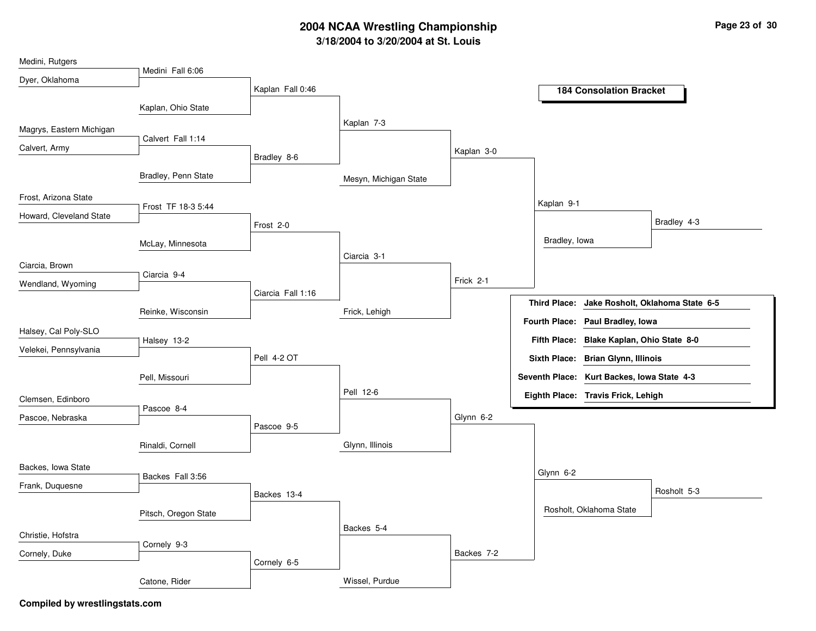| Medini, Rutgers          |                      |                   |                       |            |                                                         |
|--------------------------|----------------------|-------------------|-----------------------|------------|---------------------------------------------------------|
| Dyer, Oklahoma           | Medini Fall 6:06     |                   |                       |            |                                                         |
|                          |                      | Kaplan Fall 0:46  |                       |            | <b>184 Consolation Bracket</b>                          |
|                          | Kaplan, Ohio State   |                   |                       |            |                                                         |
| Magrys, Eastern Michigan |                      |                   | Kaplan 7-3            |            |                                                         |
|                          | Calvert Fall 1:14    |                   |                       |            |                                                         |
| Calvert, Army            |                      | Bradley 8-6       |                       | Kaplan 3-0 |                                                         |
|                          | Bradley, Penn State  |                   | Mesyn, Michigan State |            |                                                         |
| Frost, Arizona State     | Frost TF 18-3 5:44   |                   |                       |            | Kaplan 9-1                                              |
| Howard, Cleveland State  |                      |                   |                       |            | Bradley 4-3                                             |
|                          |                      | Frost 2-0         |                       |            |                                                         |
|                          | McLay, Minnesota     |                   |                       |            | Bradley, lowa                                           |
| Ciarcia, Brown           |                      |                   | Ciarcia 3-1           |            |                                                         |
| Wendland, Wyoming        | Ciarcia 9-4          |                   |                       | Frick 2-1  |                                                         |
|                          |                      | Ciarcia Fall 1:16 |                       |            | Jake Rosholt, Oklahoma State 6-5<br><b>Third Place:</b> |
|                          | Reinke, Wisconsin    |                   | Frick, Lehigh         |            |                                                         |
| Halsey, Cal Poly-SLO     |                      |                   |                       |            | Fourth Place: Paul Bradley, Iowa                        |
| Velekei, Pennsylvania    | Halsey 13-2          |                   |                       |            | Fifth Place: Blake Kaplan, Ohio State 8-0               |
|                          |                      | Pell 4-2 OT       |                       |            | Sixth Place: Brian Glynn, Illinois                      |
|                          | Pell, Missouri       |                   |                       |            | Seventh Place: Kurt Backes, Iowa State 4-3              |
| Clemsen, Edinboro        |                      |                   | Pell 12-6             |            | Eighth Place: Travis Frick, Lehigh                      |
|                          | Pascoe 8-4           |                   |                       |            |                                                         |
| Pascoe, Nebraska         |                      | Pascoe 9-5        |                       | Glynn 6-2  |                                                         |
|                          | Rinaldi, Cornell     |                   | Glynn, Illinois       |            |                                                         |
| Backes, Iowa State       |                      |                   |                       |            | Glynn 6-2                                               |
| Frank, Duquesne          | Backes Fall 3:56     |                   |                       |            |                                                         |
|                          |                      | Backes 13-4       |                       |            | Rosholt 5-3                                             |
|                          | Pitsch, Oregon State |                   |                       |            | Rosholt, Oklahoma State                                 |
| Christie, Hofstra        |                      |                   | Backes 5-4            |            |                                                         |
| Cornely, Duke            | Cornely 9-3          |                   |                       | Backes 7-2 |                                                         |
|                          |                      | Cornely 6-5       |                       |            |                                                         |
|                          | Catone, Rider        |                   | Wissel, Purdue        |            |                                                         |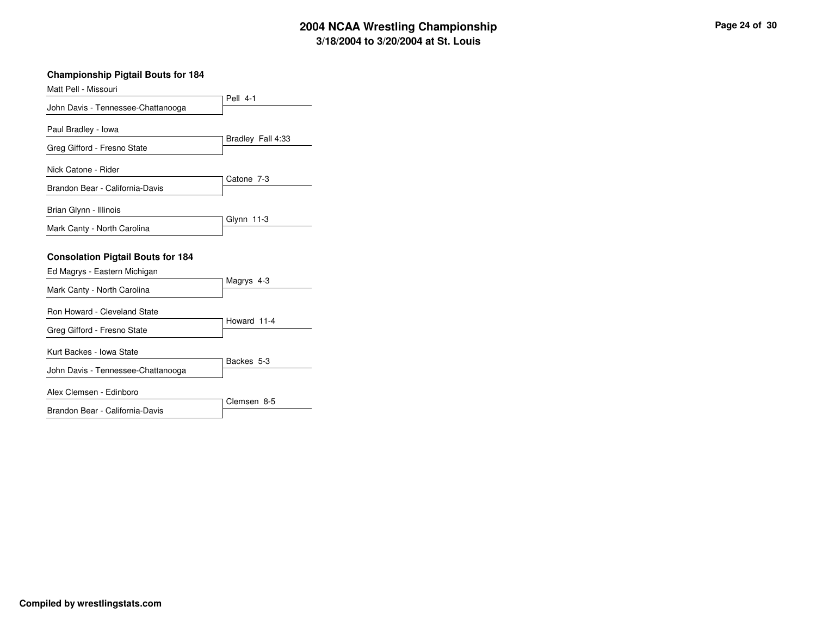| <b>Championship Pigtail Bouts for 184</b>                                |                   |
|--------------------------------------------------------------------------|-------------------|
| Matt Pell - Missouri                                                     |                   |
| John Davis - Tennessee-Chattanooga                                       | <b>Pell 4-1</b>   |
| Paul Bradley - Iowa                                                      |                   |
| Greg Gifford - Fresno State                                              | Bradley Fall 4:33 |
| Nick Catone - Rider                                                      |                   |
| Brandon Bear - California-Davis                                          | Catone 7-3        |
| Brian Glynn - Illinois                                                   |                   |
| Mark Canty - North Carolina                                              | Glynn 11-3        |
| <b>Consolation Pigtail Bouts for 184</b><br>Ed Magrys - Eastern Michigan |                   |
| Mark Canty - North Carolina                                              | Magrys 4-3        |
| Ron Howard - Cleveland State<br>Greg Gifford - Fresno State              | Howard 11-4       |
| Kurt Backes - Iowa State                                                 |                   |
| John Davis - Tennessee-Chattanooga                                       | Backes 5-3        |
| Alex Clemsen - Edinboro                                                  |                   |
| Brandon Bear - California-Davis                                          | Clemsen 8-5       |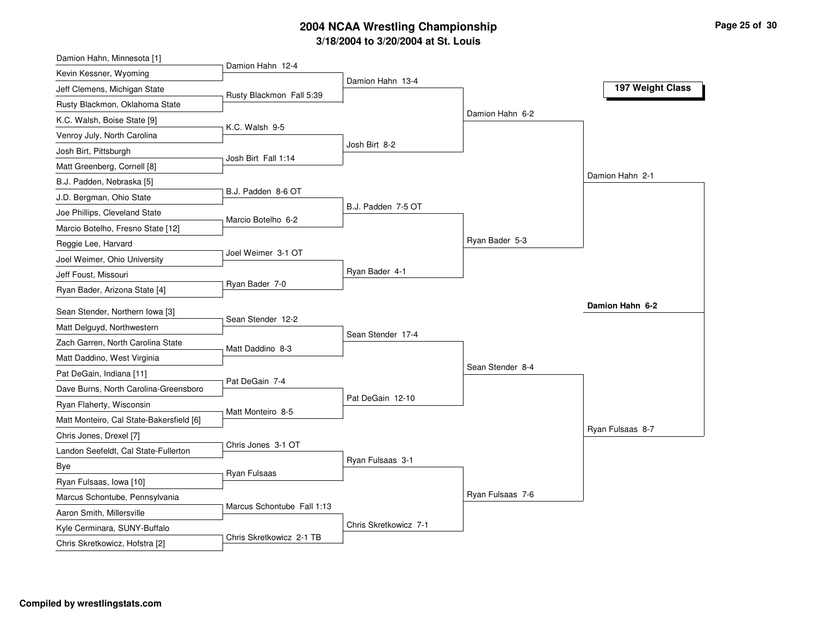| Damion Hahn, Minnesota [1]                                |                            |                       |                  |                  |
|-----------------------------------------------------------|----------------------------|-----------------------|------------------|------------------|
| Kevin Kessner, Wyoming                                    | Damion Hahn 12-4           | Damion Hahn 13-4      |                  |                  |
| Jeff Clemens, Michigan State                              | Rusty Blackmon Fall 5:39   |                       |                  | 197 Weight Class |
| Rusty Blackmon, Oklahoma State                            |                            |                       |                  |                  |
| K.C. Walsh, Boise State [9]                               | K.C. Walsh 9-5             |                       | Damion Hahn 6-2  |                  |
| Venroy July, North Carolina                               |                            |                       |                  |                  |
| Josh Birt, Pittsburgh                                     | Josh Birt Fall 1:14        | Josh Birt 8-2         |                  |                  |
| Matt Greenberg, Cornell [8]                               |                            |                       |                  |                  |
| B.J. Padden, Nebraska [5]                                 |                            |                       |                  | Damion Hahn 2-1  |
| J.D. Bergman, Ohio State                                  | B.J. Padden 8-6 OT         |                       |                  |                  |
| Joe Phillips, Cleveland State                             | Marcio Botelho 6-2         | B.J. Padden 7-5 OT    |                  |                  |
| Marcio Botelho, Fresno State [12]                         |                            |                       |                  |                  |
| Reggie Lee, Harvard                                       |                            |                       | Ryan Bader 5-3   |                  |
| Joel Weimer, Ohio University                              | Joel Weimer 3-1 OT         |                       |                  |                  |
| Jeff Foust, Missouri                                      |                            | Ryan Bader 4-1        |                  |                  |
| Ryan Bader, Arizona State [4]                             | Ryan Bader 7-0             |                       |                  |                  |
|                                                           |                            |                       |                  |                  |
|                                                           |                            |                       |                  | Damion Hahn 6-2  |
| Sean Stender, Northern Iowa [3]                           | Sean Stender 12-2          |                       |                  |                  |
| Matt Delguyd, Northwestern                                |                            | Sean Stender 17-4     |                  |                  |
| Zach Garren, North Carolina State                         | Matt Daddino 8-3           |                       |                  |                  |
| Matt Daddino, West Virginia                               |                            |                       | Sean Stender 8-4 |                  |
| Pat DeGain, Indiana [11]                                  | Pat DeGain 7-4             |                       |                  |                  |
| Dave Burns, North Carolina-Greensboro                     |                            | Pat DeGain 12-10      |                  |                  |
| Ryan Flaherty, Wisconsin                                  | Matt Monteiro 8-5          |                       |                  |                  |
| Matt Monteiro, Cal State-Bakersfield [6]                  |                            |                       |                  | Ryan Fulsaas 8-7 |
| Chris Jones, Drexel [7]                                   | Chris Jones 3-1 OT         |                       |                  |                  |
| Landon Seefeldt, Cal State-Fullerton                      |                            | Ryan Fulsaas 3-1      |                  |                  |
| Bye                                                       | Ryan Fulsaas               |                       |                  |                  |
| Ryan Fulsaas, Iowa [10]                                   |                            |                       | Ryan Fulsaas 7-6 |                  |
| Marcus Schontube, Pennsylvania                            | Marcus Schontube Fall 1:13 |                       |                  |                  |
| Aaron Smith, Millersville<br>Kyle Cerminara, SUNY-Buffalo |                            | Chris Skretkowicz 7-1 |                  |                  |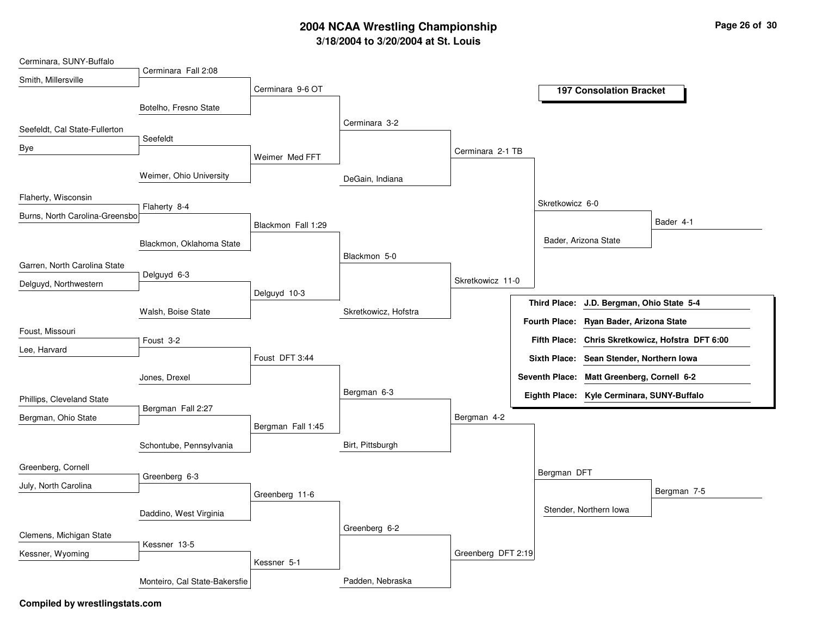| Cerminara, SUNY-Buffalo        |                               |                    |                      |                    |                     |                                            |                                                  |
|--------------------------------|-------------------------------|--------------------|----------------------|--------------------|---------------------|--------------------------------------------|--------------------------------------------------|
| Smith, Millersville            | Cerminara Fall 2:08           |                    |                      |                    |                     |                                            |                                                  |
|                                |                               | Cerminara 9-6 OT   |                      |                    |                     | <b>197 Consolation Bracket</b>             |                                                  |
|                                | Botelho, Fresno State         |                    |                      |                    |                     |                                            |                                                  |
| Seefeldt, Cal State-Fullerton  |                               |                    | Cerminara 3-2        |                    |                     |                                            |                                                  |
|                                | Seefeldt                      |                    |                      |                    |                     |                                            |                                                  |
| Bye                            |                               | Weimer Med FFT     |                      | Cerminara 2-1 TB   |                     |                                            |                                                  |
|                                | Weimer, Ohio University       |                    | DeGain, Indiana      |                    |                     |                                            |                                                  |
| Flaherty, Wisconsin            | Flaherty 8-4                  |                    |                      |                    | Skretkowicz 6-0     |                                            |                                                  |
| Burns, North Carolina-Greensbo |                               | Blackmon Fall 1:29 |                      |                    |                     |                                            | Bader 4-1                                        |
|                                | Blackmon, Oklahoma State      |                    |                      |                    |                     | Bader, Arizona State                       |                                                  |
| Garren, North Carolina State   |                               |                    | Blackmon 5-0         |                    |                     |                                            |                                                  |
| Delguyd, Northwestern          | Delguyd 6-3                   |                    |                      | Skretkowicz 11-0   |                     |                                            |                                                  |
|                                |                               | Delguyd 10-3       |                      |                    | <b>Third Place:</b> | J.D. Bergman, Ohio State 5-4               |                                                  |
|                                | Walsh, Boise State            |                    | Skretkowicz, Hofstra |                    |                     | Fourth Place: Ryan Bader, Arizona State    |                                                  |
| Foust, Missouri                | Foust 3-2                     |                    |                      |                    |                     |                                            | Fifth Place: Chris Skretkowicz, Hofstra DFT 6:00 |
| Lee, Harvard                   |                               | Foust DFT 3:44     |                      |                    |                     |                                            |                                                  |
|                                |                               |                    |                      |                    |                     | Sixth Place: Sean Stender, Northern Iowa   |                                                  |
|                                | Jones, Drexel                 |                    |                      |                    |                     | Seventh Place: Matt Greenberg, Cornell 6-2 |                                                  |
| Phillips, Cleveland State      |                               |                    | Bergman 6-3          |                    |                     | Eighth Place: Kyle Cerminara, SUNY-Buffalo |                                                  |
| Bergman, Ohio State            | Bergman Fall 2:27             |                    |                      | Bergman 4-2        |                     |                                            |                                                  |
|                                |                               | Bergman Fall 1:45  |                      |                    |                     |                                            |                                                  |
|                                | Schontube, Pennsylvania       |                    | Birt, Pittsburgh     |                    |                     |                                            |                                                  |
| Greenberg, Cornell             |                               |                    |                      |                    | Bergman DFT         |                                            |                                                  |
| July, North Carolina           | Greenberg 6-3                 |                    |                      |                    |                     |                                            |                                                  |
|                                |                               | Greenberg 11-6     |                      |                    |                     |                                            | Bergman 7-5                                      |
|                                | Daddino, West Virginia        |                    |                      |                    |                     | Stender, Northern Iowa                     |                                                  |
| Clemens, Michigan State        |                               |                    | Greenberg 6-2        |                    |                     |                                            |                                                  |
| Kessner, Wyoming               | Kessner 13-5                  |                    |                      | Greenberg DFT 2:19 |                     |                                            |                                                  |
|                                |                               | Kessner 5-1        |                      |                    |                     |                                            |                                                  |
|                                | Monteiro, Cal State-Bakersfie |                    | Padden, Nebraska     |                    |                     |                                            |                                                  |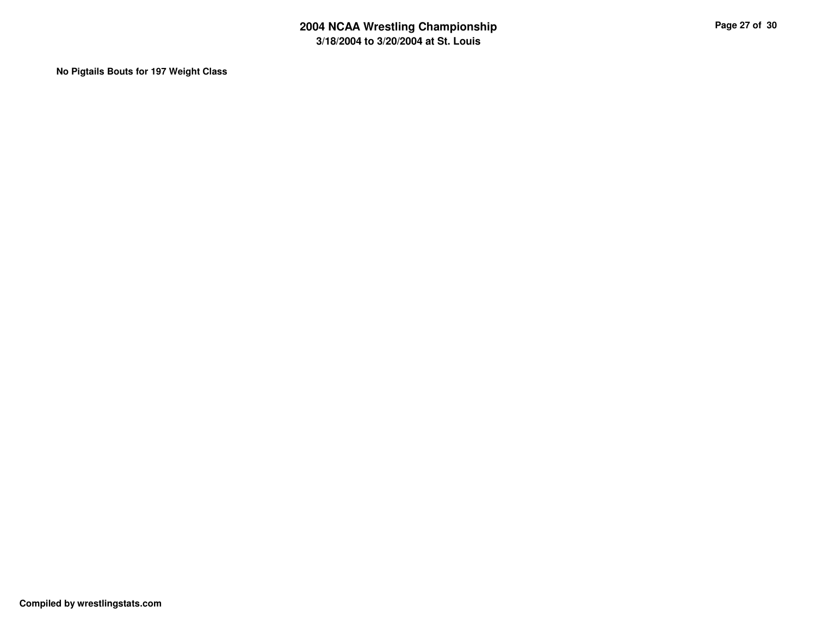**No Pigtails Bouts for 197 Weight Class**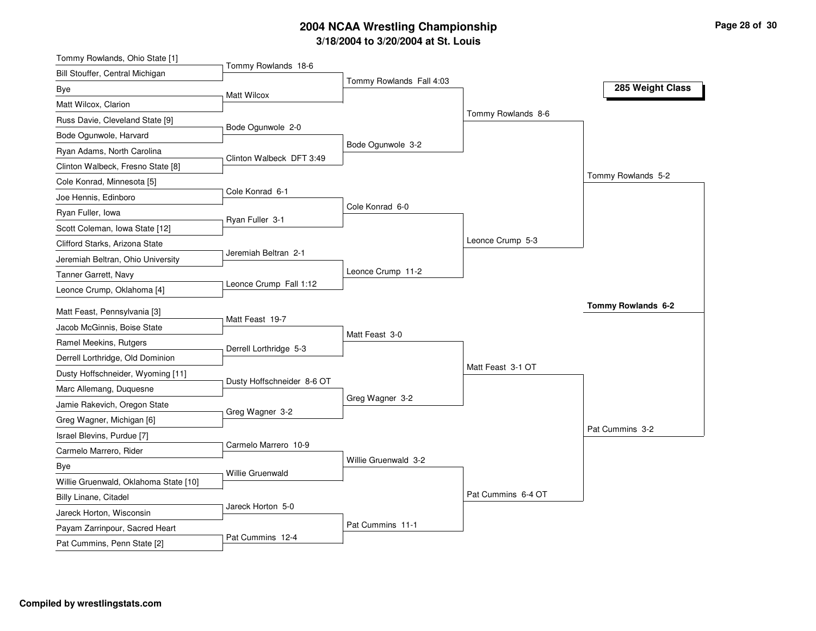| Tommy Rowlands, Ohio State [1]                                |                            |                          |                    |                    |
|---------------------------------------------------------------|----------------------------|--------------------------|--------------------|--------------------|
| Bill Stouffer, Central Michigan                               | Tommy Rowlands 18-6        |                          |                    |                    |
| Bye                                                           | <b>Matt Wilcox</b>         | Tommy Rowlands Fall 4:03 |                    | 285 Weight Class   |
| Matt Wilcox, Clarion                                          |                            |                          |                    |                    |
| Russ Davie, Cleveland State [9]                               |                            |                          | Tommy Rowlands 8-6 |                    |
| Bode Ogunwole, Harvard                                        | Bode Ogunwole 2-0          |                          |                    |                    |
| Ryan Adams, North Carolina                                    |                            | Bode Ogunwole 3-2        |                    |                    |
| Clinton Walbeck, Fresno State [8]                             | Clinton Walbeck DFT 3:49   |                          |                    |                    |
| Cole Konrad, Minnesota [5]                                    |                            |                          |                    | Tommy Rowlands 5-2 |
| Joe Hennis, Edinboro                                          | Cole Konrad 6-1            |                          |                    |                    |
| Ryan Fuller, Iowa                                             |                            | Cole Konrad 6-0          |                    |                    |
| Scott Coleman, Iowa State [12]                                | Ryan Fuller 3-1            |                          |                    |                    |
| Clifford Starks, Arizona State                                |                            |                          | Leonce Crump 5-3   |                    |
| Jeremiah Beltran, Ohio University                             | Jeremiah Beltran 2-1       |                          |                    |                    |
| Tanner Garrett, Navy                                          |                            | Leonce Crump 11-2        |                    |                    |
| Leonce Crump, Oklahoma [4]                                    | Leonce Crump Fall 1:12     |                          |                    |                    |
|                                                               |                            |                          |                    | Tommy Rowlands 6-2 |
| Matt Feast, Pennsylvania [3]<br>Jacob McGinnis, Boise State   | Matt Feast 19-7            |                          |                    |                    |
|                                                               |                            | Matt Feast 3-0           |                    |                    |
| Ramel Meekins, Rutgers                                        | Derrell Lorthridge 5-3     |                          |                    |                    |
| Derrell Lorthridge, Old Dominion                              |                            |                          |                    |                    |
| Dusty Hoffschneider, Wyoming [11]                             |                            |                          | Matt Feast 3-1 OT  |                    |
|                                                               | Dusty Hoffschneider 8-6 OT |                          |                    |                    |
| Marc Allemang, Duquesne                                       |                            | Greg Wagner 3-2          |                    |                    |
| Jamie Rakevich, Oregon State                                  | Greg Wagner 3-2            |                          |                    |                    |
| Greg Wagner, Michigan [6]                                     |                            |                          |                    | Pat Cummins 3-2    |
| Israel Blevins, Purdue [7]                                    | Carmelo Marrero 10-9       |                          |                    |                    |
| Carmelo Marrero, Rider                                        |                            | Willie Gruenwald 3-2     |                    |                    |
| Bye                                                           | Willie Gruenwald           |                          |                    |                    |
| Willie Gruenwald, Oklahoma State [10]                         |                            |                          |                    |                    |
| Billy Linane, Citadel                                         | Jareck Horton 5-0          |                          | Pat Cummins 6-4 OT |                    |
| Jareck Horton, Wisconsin                                      |                            |                          |                    |                    |
| Payam Zarrinpour, Sacred Heart<br>Pat Cummins, Penn State [2] | Pat Cummins 12-4           | Pat Cummins 11-1         |                    |                    |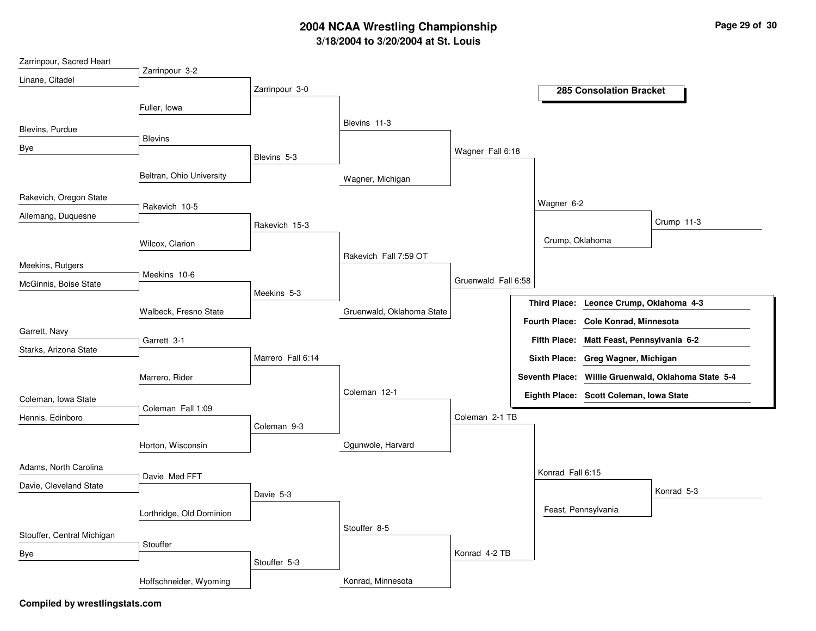| Zarrinpour, Sacred Heart   |                          |                   |                           |                     |                  |                                           |                                                     |
|----------------------------|--------------------------|-------------------|---------------------------|---------------------|------------------|-------------------------------------------|-----------------------------------------------------|
| Linane, Citadel            | Zarrinpour 3-2           |                   |                           |                     |                  |                                           |                                                     |
|                            |                          | Zarrinpour 3-0    |                           |                     |                  | <b>285 Consolation Bracket</b>            |                                                     |
|                            | Fuller, Iowa             |                   |                           |                     |                  |                                           |                                                     |
|                            |                          |                   | Blevins 11-3              |                     |                  |                                           |                                                     |
| Blevins, Purdue            | <b>Blevins</b>           |                   |                           |                     |                  |                                           |                                                     |
| Bye                        |                          |                   |                           | Wagner Fall 6:18    |                  |                                           |                                                     |
|                            |                          | Blevins 5-3       |                           |                     |                  |                                           |                                                     |
|                            | Beltran, Ohio University |                   | Wagner, Michigan          |                     |                  |                                           |                                                     |
| Rakevich, Oregon State     |                          |                   |                           |                     |                  |                                           |                                                     |
|                            | Rakevich 10-5            |                   |                           |                     | Wagner 6-2       |                                           |                                                     |
| Allemang, Duquesne         |                          | Rakevich 15-3     |                           |                     |                  |                                           | Crump 11-3                                          |
|                            |                          |                   |                           |                     | Crump, Oklahoma  |                                           |                                                     |
|                            | Wilcox, Clarion          |                   | Rakevich Fall 7:59 OT     |                     |                  |                                           |                                                     |
| Meekins, Rutgers           |                          |                   |                           |                     |                  |                                           |                                                     |
| McGinnis, Boise State      | Meekins 10-6             |                   |                           | Gruenwald Fall 6:58 |                  |                                           |                                                     |
|                            |                          | Meekins 5-3       |                           |                     |                  |                                           |                                                     |
|                            | Walbeck, Fresno State    |                   | Gruenwald, Oklahoma State |                     |                  | Third Place: Leonce Crump, Oklahoma 4-3   |                                                     |
|                            |                          |                   |                           |                     |                  | Fourth Place: Cole Konrad, Minnesota      |                                                     |
| Garrett, Navy              | Garrett 3-1              |                   |                           |                     |                  | Fifth Place: Matt Feast, Pennsylvania 6-2 |                                                     |
| Starks, Arizona State      |                          | Marrero Fall 6:14 |                           |                     |                  | Sixth Place: Greg Wagner, Michigan        |                                                     |
|                            |                          |                   |                           |                     |                  |                                           |                                                     |
|                            | Marrero, Rider           |                   |                           |                     |                  |                                           | Seventh Place: Willie Gruenwald, Oklahoma State 5-4 |
| Coleman, Iowa State        |                          |                   | Coleman 12-1              |                     |                  | Eighth Place: Scott Coleman, Iowa State   |                                                     |
|                            | Coleman Fall 1:09        |                   |                           |                     |                  |                                           |                                                     |
| Hennis, Edinboro           |                          | Coleman 9-3       |                           | Coleman 2-1 TB      |                  |                                           |                                                     |
|                            |                          |                   | Ogunwole, Harvard         |                     |                  |                                           |                                                     |
|                            | Horton, Wisconsin        |                   |                           |                     |                  |                                           |                                                     |
| Adams, North Carolina      |                          |                   |                           |                     | Konrad Fall 6:15 |                                           |                                                     |
| Davie, Cleveland State     | Davie Med FFT            |                   |                           |                     |                  |                                           |                                                     |
|                            |                          | Davie 5-3         |                           |                     |                  |                                           | Konrad 5-3                                          |
|                            | Lorthridge, Old Dominion |                   |                           |                     |                  | Feast, Pennsylvania                       |                                                     |
|                            |                          |                   | Stouffer 8-5              |                     |                  |                                           |                                                     |
| Stouffer, Central Michigan | Stouffer                 |                   |                           |                     |                  |                                           |                                                     |
| Bye                        |                          |                   |                           | Konrad 4-2 TB       |                  |                                           |                                                     |
|                            |                          | Stouffer 5-3      |                           |                     |                  |                                           |                                                     |
|                            | Hoffschneider, Wyoming   |                   | Konrad, Minnesota         |                     |                  |                                           |                                                     |